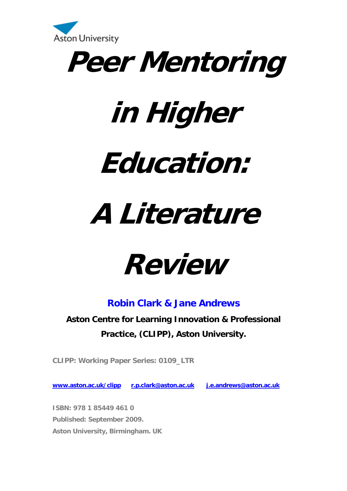



# **in Higher**

## **Education:**

# **A Literature**

## **Review**

## **Robin Clark & Jane Andrews**

**Aston Centre for Learning Innovation & Professional Practice, (CLIPP), Aston University.** 

**CLIPP: Working Paper Series: 0109\_LTR** 

**[www.aston.ac.uk/clipp](http://www.aston.ac.uk/clipp) [r.p.clark@aston.ac.uk](mailto:r.p.clark@aston.ac.uk) [j.e.andrews@aston.ac.uk](mailto:j.e.andrews@aston.ac.uk)** 

**ISBN: 978 1 85449 461 0 Published: September 2009. Aston University, Birmingham. UK**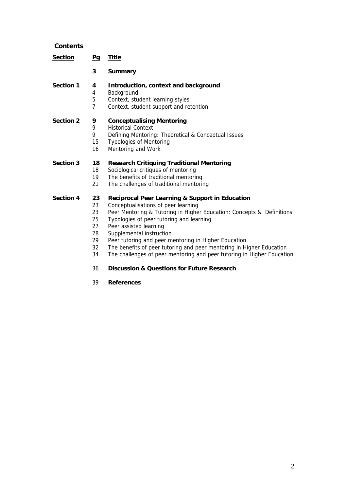### **Contents**

| <b>Section</b>   | Pq                                                       | <b>Title</b>                                                                                                                                                                                                                                                                                                                                                                                                                                                                                                                                    |
|------------------|----------------------------------------------------------|-------------------------------------------------------------------------------------------------------------------------------------------------------------------------------------------------------------------------------------------------------------------------------------------------------------------------------------------------------------------------------------------------------------------------------------------------------------------------------------------------------------------------------------------------|
|                  | 3                                                        | <b>Summary</b>                                                                                                                                                                                                                                                                                                                                                                                                                                                                                                                                  |
| <b>Section 1</b> | 4<br>4<br>5<br>$\overline{7}$                            | Introduction, context and background<br>Background<br>Context, student learning styles<br>Context, student support and retention                                                                                                                                                                                                                                                                                                                                                                                                                |
| <b>Section 2</b> | 9<br>9<br>9<br>15<br>16                                  | <b>Conceptualising Mentoring</b><br><b>Historical Context</b><br>Defining Mentoring: Theoretical & Conceptual Issues<br><b>Typologies of Mentoring</b><br>Mentoring and Work                                                                                                                                                                                                                                                                                                                                                                    |
| <b>Section 3</b> | 18<br>18<br>19<br>21                                     | <b>Research Critiquing Traditional Mentoring</b><br>Sociological critiques of mentoring<br>The benefits of traditional mentoring<br>The challenges of traditional mentoring                                                                                                                                                                                                                                                                                                                                                                     |
| <b>Section 4</b> | 23<br>23<br>23<br>25<br>27<br>28<br>29<br>32<br>34<br>36 | <b>Reciprocal Peer Learning &amp; Support in Education</b><br>Conceptualisations of peer learning<br>Peer Mentoring & Tutoring in Higher Education: Concepts & Definitions<br>Typologies of peer tutoring and learning<br>Peer assisted learning<br>Supplemental instruction<br>Peer tutoring and peer mentoring in Higher Education<br>The benefits of peer tutoring and peer mentoring in Higher Education<br>The challenges of peer mentoring and peer tutoring in Higher Education<br><b>Discussion &amp; Questions for Future Research</b> |

39 **References**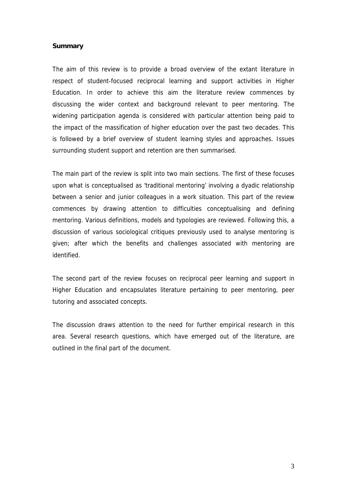#### **Summary**

The aim of this review is to provide a broad overview of the extant literature in respect of student-focused reciprocal learning and support activities in Higher Education. In order to achieve this aim the literature review commences by discussing the wider context and background relevant to peer mentoring. The widening participation agenda is considered with particular attention being paid to the impact of the massification of higher education over the past two decades. This is followed by a brief overview of student learning styles and approaches. Issues surrounding student support and retention are then summarised.

The main part of the review is split into two main sections. The first of these focuses upon what is conceptualised as 'traditional mentoring' involving a dyadic relationship between a senior and junior colleagues in a work situation. This part of the review commences by drawing attention to difficulties conceptualising and defining mentoring. Various definitions, models and typologies are reviewed. Following this, a discussion of various sociological critiques previously used to analyse mentoring is given; after which the benefits and challenges associated with mentoring are identified.

The second part of the review focuses on reciprocal peer learning and support in Higher Education and encapsulates literature pertaining to peer mentoring, peer tutoring and associated concepts.

The discussion draws attention to the need for further empirical research in this area. Several research questions, which have emerged out of the literature, are outlined in the final part of the document.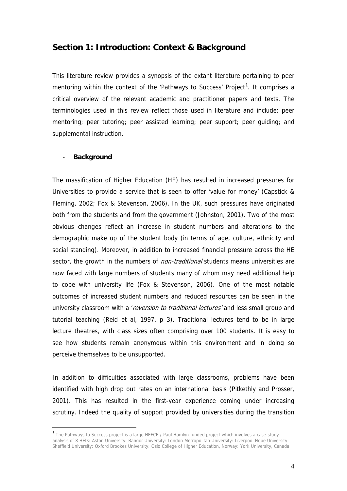### **Section 1: Introduction: Context & Background**

This literature review provides a synopsis of the extant literature pertaining to peer mentoring within the context of the 'Pathways to Success' Project<sup>[1](#page-3-0)</sup>. It comprises a critical overview of the relevant academic and practitioner papers and texts. The terminologies used in this review reflect those used in literature and include: peer mentoring; peer tutoring; peer assisted learning; peer support; peer guiding; and supplemental instruction.

#### - **Background**

1

The massification of Higher Education (HE) has resulted in increased pressures for Universities to provide a service that is seen to offer 'value for money' (Capstick & Fleming, 2002; Fox & Stevenson, 2006). In the UK, such pressures have originated both from the students and from the government (Johnston, 2001). Two of the most obvious changes reflect an increase in student numbers and alterations to the demographic make up of the student body (in terms of age, culture, ethnicity and social standing). Moreover, in addition to increased financial pressure across the HE sector, the growth in the numbers of *non-traditional* students means universities are now faced with large numbers of students many of whom may need additional help to cope with university life (Fox & Stevenson, 2006). One of the most notable outcomes of increased student numbers and reduced resources can be seen in the university classroom with a *'reversion to traditional lectures'* and less small group and tutorial teaching (Reid et al, 1997, p 3). Traditional lectures tend to be in large lecture theatres, with class sizes often comprising over 100 students. It is easy to see how students remain anonymous within this environment and in doing so perceive themselves to be unsupported.

In addition to difficulties associated with large classrooms, problems have been identified with high drop out rates on an international basis (Pitkethly and Prosser, 2001). This has resulted in the first-year experience coming under increasing scrutiny. Indeed the quality of support provided by universities during the transition

<span id="page-3-0"></span><sup>&</sup>lt;sup>1</sup> The Pathways to Success project is a large HEFCE / Paul Hamlyn funded project which involves a case-study analysis of 8 HEIs: Aston University: Bangor University: London Metropolitan University: Liverpool Hope University: Sheffield University: Oxford Brookes University: Oslo College of Higher Education, Norway: York University, Canada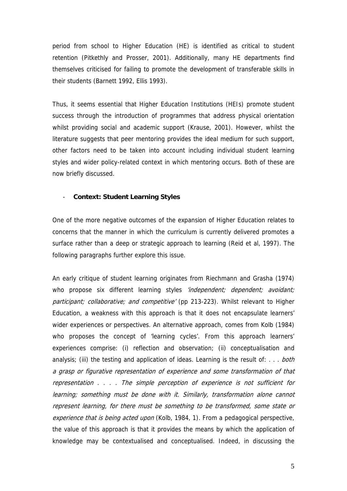period from school to Higher Education (HE) is identified as critical to student retention (Pitkethly and Prosser, 2001). Additionally, many HE departments find themselves criticised for failing to promote the development of transferable skills in their students (Barnett 1992, Ellis 1993).

Thus, it seems essential that Higher Education Institutions (HEIs) promote student success through the introduction of programmes that address physical orientation whilst providing social and academic support (Krause, 2001). However, whilst the literature suggests that peer mentoring provides the ideal medium for such support, other factors need to be taken into account including individual student learning styles and wider policy-related context in which mentoring occurs. Both of these are now briefly discussed.

#### - **Context: Student Learning Styles**

One of the more negative outcomes of the expansion of Higher Education relates to concerns that the manner in which the curriculum is currently delivered promotes a surface rather than a deep or strategic approach to learning (Reid et al, 1997). The following paragraphs further explore this issue.

An early critique of student learning originates from Riechmann and Grasha (1974) who propose six different learning styles 'independent; dependent; avoidant; participant; collaborative; and competitive' (pp 213-223). Whilst relevant to Higher Education, a weakness with this approach is that it does not encapsulate learners' wider experiences or perspectives. An alternative approach, comes from Kolb (1984) who proposes the concept of 'learning cycles'. From this approach learners' experiences comprise: (i) reflection and observation; (ii) conceptualisation and analysis; (iii) the testing and application of ideas. Learning is the result of: . . . both a grasp or figurative representation of experience and some transformation of that representation . . . . The simple perception of experience is not sufficient for learning; something must be done with it. Similarly, transformation alone cannot represent learning, for there must be something to be transformed, some state or experience that is being acted upon (Kolb, 1984, 1). From a pedagogical perspective, the value of this approach is that it provides the means by which the application of knowledge may be contextualised and conceptualised. Indeed, in discussing the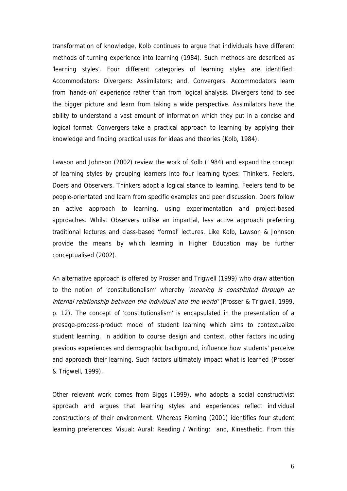transformation of knowledge, Kolb continues to argue that individuals have different methods of turning experience into learning (1984). Such methods are described as 'learning styles'. Four different categories of learning styles are identified: Accommodators: Divergers: Assimilators; and, Convergers. Accommodators learn from 'hands-on' experience rather than from logical analysis. Divergers tend to see the bigger picture and learn from taking a wide perspective. Assimilators have the ability to understand a vast amount of information which they put in a concise and logical format. Convergers take a practical approach to learning by applying their knowledge and finding practical uses for ideas and theories (Kolb, 1984).

Lawson and Johnson (2002) review the work of Kolb (1984) and expand the concept of learning styles by grouping learners into four learning types: Thinkers, Feelers, Doers and Observers. Thinkers adopt a logical stance to learning. Feelers tend to be people-orientated and learn from specific examples and peer discussion. Doers follow an active approach to learning, using experimentation and project-based approaches. Whilst Observers utilise an impartial, less active approach preferring traditional lectures and class-based 'formal' lectures. Like Kolb, Lawson & Johnson provide the means by which learning in Higher Education may be further conceptualised (2002).

An alternative approach is offered by Prosser and Trigwell (1999) who draw attention to the notion of 'constitutionalism' whereby 'meaning is constituted through an internal relationship between the individual and the world' (Prosser & Trigwell, 1999, p. 12). The concept of 'constitutionalism' is encapsulated in the presentation of a presage-process-product model of student learning which aims to contextualize student learning. In addition to course design and context, other factors including previous experiences and demographic background, influence how students' perceive and approach their learning. Such factors ultimately impact what is learned (Prosser & Trigwell, 1999).

Other relevant work comes from Biggs (1999), who adopts a social constructivist approach and argues that learning styles and experiences reflect individual constructions of their environment. Whereas Fleming (2001) identifies four student learning preferences: Visual: Aural: Reading / Writing: and, Kinesthetic. From this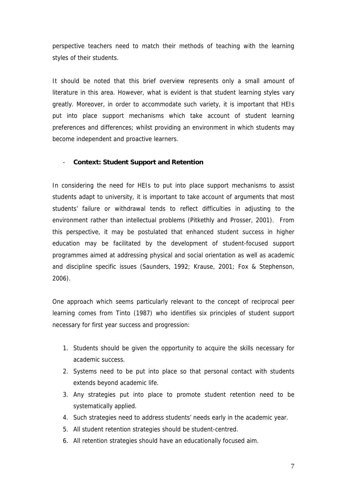perspective teachers need to match their methods of teaching with the learning styles of their students.

It should be noted that this brief overview represents only a small amount of literature in this area. However, what is evident is that student learning styles vary greatly. Moreover, in order to accommodate such variety, it is important that HEIs put into place support mechanisms which take account of student learning preferences and differences; whilst providing an environment in which students may become independent and proactive learners.

#### - **Context: Student Support and Retention**

In considering the need for HEIs to put into place support mechanisms to assist students adapt to university, it is important to take account of arguments that most students' failure or withdrawal tends to reflect difficulties in adjusting to the environment rather than intellectual problems (Pitkethly and Prosser, 2001). From this perspective, it may be postulated that enhanced student success in higher education may be facilitated by the development of student-focused support programmes aimed at addressing physical and social orientation as well as academic and discipline specific issues (Saunders, 1992; Krause, 2001; Fox & Stephenson, 2006).

One approach which seems particularly relevant to the concept of reciprocal peer learning comes from Tinto (1987) who identifies six principles of student support necessary for first year success and progression:

- 1. Students should be given the opportunity to acquire the skills necessary for academic success.
- 2. Systems need to be put into place so that personal contact with students extends beyond academic life.
- 3. Any strategies put into place to promote student retention need to be systematically applied.
- 4. Such strategies need to address students' needs early in the academic year.
- 5. All student retention strategies should be student-centred.
- 6. All retention strategies should have an educationally focused aim.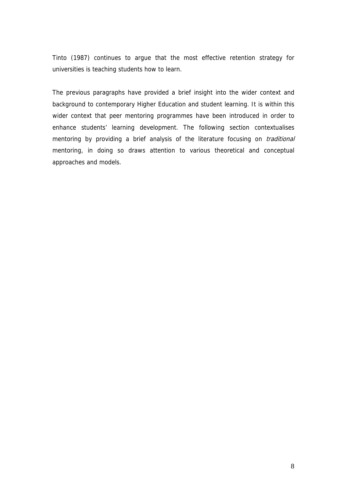Tinto (1987) continues to argue that the most effective retention strategy for universities is teaching students how to learn.

The previous paragraphs have provided a brief insight into the wider context and background to contemporary Higher Education and student learning. It is within this wider context that peer mentoring programmes have been introduced in order to enhance students' learning development. The following section contextualises mentoring by providing a brief analysis of the literature focusing on *traditional* mentoring, in doing so draws attention to various theoretical and conceptual approaches and models.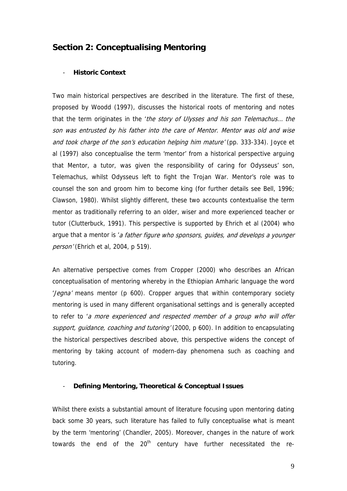## **Section 2: Conceptualising Mentoring**

#### - **Historic Context**

Two main historical perspectives are described in the literature. The first of these, proposed by Woodd (1997), discusses the historical roots of mentoring and notes that the term originates in the 'the story of Ulysses and his son Telemachus... the son was entrusted by his father into the care of Mentor. Mentor was old and wise and took charge of the son's education helping him mature' (pp. 333-334). Joyce et al (1997) also conceptualise the term 'mentor' from a historical perspective arguing that Mentor, a tutor, was given the responsibility of caring for Odysseus' son, Telemachus, whilst Odysseus left to fight the Trojan War. Mentor's role was to counsel the son and groom him to become king (for further details see Bell, 1996; Clawson, 1980). Whilst slightly different, these two accounts contextualise the term mentor as traditionally referring to an older, wiser and more experienced teacher or tutor (Clutterbuck, 1991). This perspective is supported by Ehrich et al (2004) who argue that a mentor is 'a father figure who sponsors, guides, and develops a younger person' (Ehrich et al, 2004, p 519).

An alternative perspective comes from Cropper (2000) who describes an African conceptualisation of mentoring whereby in the Ethiopian Amharic language the word 'Jegna' means mentor (p 600). Cropper argues that within contemporary society mentoring is used in many different organisational settings and is generally accepted to refer to 'a more experienced and respected member of a group who will offer support, guidance, coaching and tutoring' (2000, p 600). In addition to encapsulating the historical perspectives described above, this perspective widens the concept of mentoring by taking account of modern-day phenomena such as coaching and tutoring.

#### - **Defining Mentoring, Theoretical & Conceptual Issues**

Whilst there exists a substantial amount of literature focusing upon mentoring dating back some 30 years, such literature has failed to fully conceptualise what is meant by the term 'mentoring' (Chandler, 2005). Moreover, changes in the nature of work towards the end of the  $20<sup>th</sup>$  century have further necessitated the re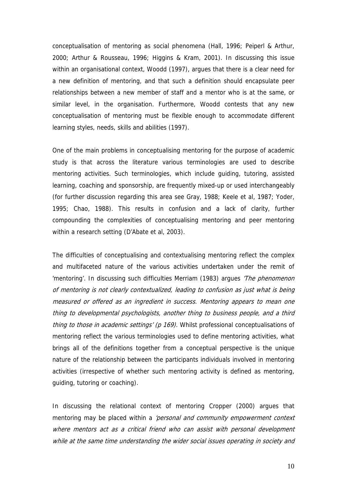conceptualisation of mentoring as social phenomena (Hall, 1996; Peiperl & Arthur, 2000; Arthur & Rousseau, 1996; Higgins & Kram, 2001). In discussing this issue within an organisational context, Woodd (1997), argues that there is a clear need for a new definition of mentoring, and that such a definition should encapsulate peer relationships between a new member of staff and a mentor who is at the same, or similar level, in the organisation. Furthermore, Woodd contests that any new conceptualisation of mentoring must be flexible enough to accommodate different learning styles, needs, skills and abilities (1997).

One of the main problems in conceptualising mentoring for the purpose of academic study is that across the literature various terminologies are used to describe mentoring activities. Such terminologies, which include guiding, tutoring, assisted learning, coaching and sponsorship, are frequently mixed-up or used interchangeably (for further discussion regarding this area see Gray, 1988; Keele et al, 1987; Yoder, 1995; Chao, 1988). This results in confusion and a lack of clarity, further compounding the complexities of conceptualising mentoring and peer mentoring within a research setting (D'Abate et al, 2003).

The difficulties of conceptualising and contextualising mentoring reflect the complex and multifaceted nature of the various activities undertaken under the remit of 'mentoring'. In discussing such difficulties Merriam (1983) argues 'The phenomenon of mentoring is not clearly contextualized, leading to confusion as just what is being measured or offered as an ingredient in success. Mentoring appears to mean one thing to developmental psychologists, another thing to business people, and a third thing to those in academic settings' (p 169). Whilst professional conceptualisations of mentoring reflect the various terminologies used to define mentoring activities, what brings all of the definitions together from a conceptual perspective is the unique nature of the relationship between the participants individuals involved in mentoring activities (irrespective of whether such mentoring activity is defined as mentoring, guiding, tutoring or coaching).

In discussing the relational context of mentoring Cropper (2000) argues that mentoring may be placed within a 'personal and community empowerment context where mentors act as a critical friend who can assist with personal development while at the same time understanding the wider social issues operating in society and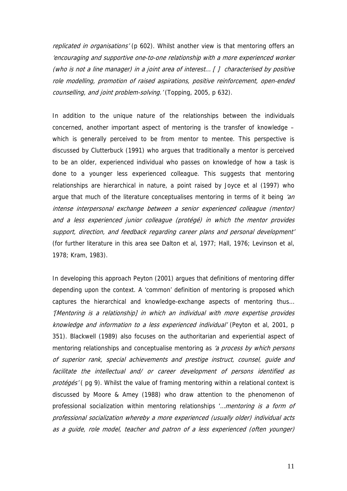replicated in organisations' (p 602). Whilst another view is that mentoring offers an 'encouraging and supportive one-to-one relationship with a more experienced worker (who is not a line manager) in a joint area of interest...  $\int$  characterised by positive role modelling, promotion of raised aspirations, positive reinforcement, open-ended counselling, and joint problem-solving.' (Topping, 2005, p 632).

In addition to the unique nature of the relationships between the individuals concerned, another important aspect of mentoring is the transfer of knowledge – which is generally perceived to be from mentor to mentee. This perspective is discussed by Clutterbuck (1991) who argues that traditionally a mentor is perceived to be an older, experienced individual who passes on knowledge of how a task is done to a younger less experienced colleague. This suggests that mentoring relationships are hierarchical in nature, a point raised by Joyce et al (1997) who argue that much of the literature conceptualises mentoring in terms of it being  $\sin$ intense interpersonal exchange between a senior experienced colleague (mentor) and a less experienced junior colleague (protégé) in which the mentor provides support, direction, and feedback regarding career plans and personal development' (for further literature in this area see Dalton et al, 1977; Hall, 1976; Levinson et al, 1978; Kram, 1983).

In developing this approach Peyton (2001) argues that definitions of mentoring differ depending upon the context. A 'common' definition of mentoring is proposed which captures the hierarchical and knowledge-exchange aspects of mentoring thus… '[Mentoring is a relationship] in which an individual with more expertise provides knowledge and information to a less experienced individual' (Peyton et al, 2001, p 351). Blackwell (1989) also focuses on the authoritarian and experiential aspect of mentoring relationships and conceptualise mentoring as 'a process by which persons of superior rank, special achievements and prestige instruct, counsel, guide and facilitate the intellectual and/ or career development of persons identified as protégés' (pg 9). Whilst the value of framing mentoring within a relational context is discussed by Moore & Amey (1988) who draw attention to the phenomenon of professional socialization within mentoring relationships '... mentoring is a form of professional socialization whereby a more experienced (usually older) individual acts as a guide, role model, teacher and patron of a less experienced (often younger)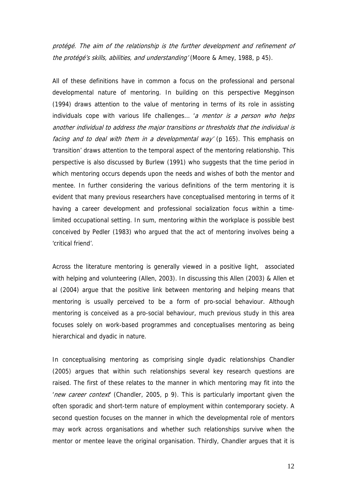protégé. The aim of the relationship is the further development and refinement of the protégé's skills, abilities, and understanding' (Moore & Amey, 1988, p 45).

All of these definitions have in common a focus on the professional and personal developmental nature of mentoring. In building on this perspective Megginson (1994) draws attention to the value of mentoring in terms of its role in assisting individuals cope with various life challenges... 'a mentor is a person who helps another individual to address the major transitions or thresholds that the individual is facing and to deal with them in a developmental way' (p 165). This emphasis on 'transition' draws attention to the temporal aspect of the mentoring relationship. This perspective is also discussed by Burlew (1991) who suggests that the time period in which mentoring occurs depends upon the needs and wishes of both the mentor and mentee. In further considering the various definitions of the term mentoring it is evident that many previous researchers have conceptualised mentoring in terms of it having a career development and professional socialization focus within a timelimited occupational setting. In sum, mentoring within the workplace is possible best conceived by Pedler (1983) who argued that the act of mentoring involves being a 'critical friend'.

Across the literature mentoring is generally viewed in a positive light, associated with helping and volunteering (Allen, 2003). In discussing this Allen (2003) & Allen et al (2004) argue that the positive link between mentoring and helping means that mentoring is usually perceived to be a form of pro-social behaviour. Although mentoring is conceived as a pro-social behaviour, much previous study in this area focuses solely on work-based programmes and conceptualises mentoring as being hierarchical and dyadic in nature.

In conceptualising mentoring as comprising single dyadic relationships Chandler (2005) argues that within such relationships several key research questions are raised. The first of these relates to the manner in which mentoring may fit into the 'new career context' (Chandler, 2005, p 9). This is particularly important given the often sporadic and short-term nature of employment within contemporary society. A second question focuses on the manner in which the developmental role of mentors may work across organisations and whether such relationships survive when the mentor or mentee leave the original organisation. Thirdly, Chandler argues that it is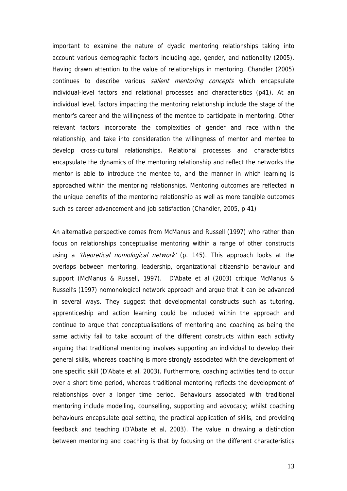important to examine the nature of dyadic mentoring relationships taking into account various demographic factors including age, gender, and nationality (2005). Having drawn attention to the value of relationships in mentoring, Chandler (2005) continues to describe various *salient mentoring concepts* which encapsulate individual-level factors and relational processes and characteristics (p41). At an individual level, factors impacting the mentoring relationship include the stage of the mentor's career and the willingness of the mentee to participate in mentoring. Other relevant factors incorporate the complexities of gender and race within the relationship, and take into consideration the willingness of mentor and mentee to develop cross-cultural relationships. Relational processes and characteristics encapsulate the dynamics of the mentoring relationship and reflect the networks the mentor is able to introduce the mentee to, and the manner in which learning is approached within the mentoring relationships. Mentoring outcomes are reflected in the unique benefits of the mentoring relationship as well as more tangible outcomes such as career advancement and job satisfaction (Chandler, 2005, p 41)

An alternative perspective comes from McManus and Russell (1997) who rather than focus on relationships conceptualise mentoring within a range of other constructs using a 'theoretical nomological network' (p. 145). This approach looks at the overlaps between mentoring, leadership, organizational citizenship behaviour and support (McManus & Russell, 1997). D'Abate et al (2003) critique McManus & Russell's (1997) nomonological network approach and argue that it can be advanced in several ways. They suggest that developmental constructs such as tutoring, apprenticeship and action learning could be included within the approach and continue to argue that conceptualisations of mentoring and coaching as being the same activity fail to take account of the different constructs within each activity arguing that traditional mentoring involves supporting an individual to develop their general skills, whereas coaching is more strongly associated with the development of one specific skill (D'Abate et al, 2003). Furthermore, coaching activities tend to occur over a short time period, whereas traditional mentoring reflects the development of relationships over a longer time period. Behaviours associated with traditional mentoring include modelling, counselling, supporting and advocacy; whilst coaching behaviours encapsulate goal setting, the practical application of skills, and providing feedback and teaching (D'Abate et al, 2003). The value in drawing a distinction between mentoring and coaching is that by focusing on the different characteristics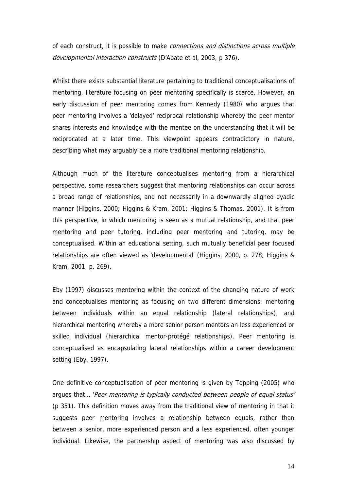of each construct, it is possible to make connections and distinctions across multiple developmental interaction constructs (D'Abate et al, 2003, p 376).

Whilst there exists substantial literature pertaining to traditional conceptualisations of mentoring, literature focusing on peer mentoring specifically is scarce. However, an early discussion of peer mentoring comes from Kennedy (1980) who argues that peer mentoring involves a 'delayed' reciprocal relationship whereby the peer mentor shares interests and knowledge with the mentee on the understanding that it will be reciprocated at a later time. This viewpoint appears contradictory in nature, describing what may arguably be a more traditional mentoring relationship.

Although much of the literature conceptualises mentoring from a hierarchical perspective, some researchers suggest that mentoring relationships can occur across a broad range of relationships, and not necessarily in a downwardly aligned dyadic manner (Higgins, 2000; Higgins & Kram, 2001; Higgins & Thomas, 2001). It is from this perspective, in which mentoring is seen as a mutual relationship, and that peer mentoring and peer tutoring, including peer mentoring and tutoring, may be conceptualised. Within an educational setting, such mutually beneficial peer focused relationships are often viewed as 'developmental' (Higgins, 2000, p. 278; Higgins & Kram, 2001, p. 269).

Eby (1997) discusses mentoring within the context of the changing nature of work and conceptualises mentoring as focusing on two different dimensions: mentoring between individuals within an equal relationship (lateral relationships); and hierarchical mentoring whereby a more senior person mentors an less experienced or skilled individual (hierarchical mentor-protégé relationships). Peer mentoring is conceptualised as encapsulating lateral relationships within a career development setting (Eby, 1997).

One definitive conceptualisation of peer mentoring is given by Topping (2005) who argues that… 'Peer mentoring is typically conducted between people of equal status' (p 351). This definition moves away from the traditional view of mentoring in that it suggests peer mentoring involves a relationship between equals, rather than between a senior, more experienced person and a less experienced, often younger individual. Likewise, the partnership aspect of mentoring was also discussed by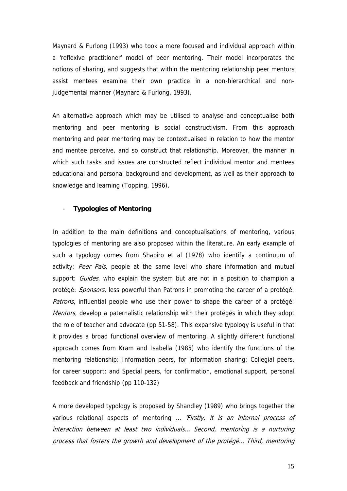Maynard & Furlong (1993) who took a more focused and individual approach within a 'reflexive practitioner' model of peer mentoring. Their model incorporates the notions of sharing, and suggests that within the mentoring relationship peer mentors assist mentees examine their own practice in a non-hierarchical and nonjudgemental manner (Maynard & Furlong, 1993).

An alternative approach which may be utilised to analyse and conceptualise both mentoring and peer mentoring is social constructivism. From this approach mentoring and peer mentoring may be contextualised in relation to how the mentor and mentee perceive, and so construct that relationship. Moreover, the manner in which such tasks and issues are constructed reflect individual mentor and mentees educational and personal background and development, as well as their approach to knowledge and learning (Topping, 1996).

#### - **Typologies of Mentoring**

In addition to the main definitions and conceptualisations of mentoring, various typologies of mentoring are also proposed within the literature. An early example of such a typology comes from Shapiro et al (1978) who identify a continuum of activity: Peer Pals, people at the same level who share information and mutual support: Guides, who explain the system but are not in a position to champion a protégé: Sponsors, less powerful than Patrons in promoting the career of a protégé: Patrons, influential people who use their power to shape the career of a protégé: Mentors, develop a paternalistic relationship with their protégés in which they adopt the role of teacher and advocate (pp 51-58). This expansive typology is useful in that it provides a broad functional overview of mentoring. A slightly different functional approach comes from Kram and Isabella (1985) who identify the functions of the mentoring relationship: Information peers, for information sharing: Collegial peers, for career support: and Special peers, for confirmation, emotional support, personal feedback and friendship (pp 110-132)

A more developed typology is proposed by Shandley (1989) who brings together the various relational aspects of mentoring ... 'Firstly, it is an internal process of interaction between at least two individuals… Second, mentoring is a nurturing process that fosters the growth and development of the protégé… Third, mentoring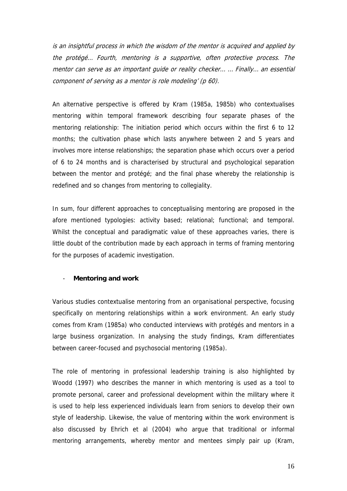is an insightful process in which the wisdom of the mentor is acquired and applied by the protégé… Fourth, mentoring is a supportive, often protective process. The mentor can serve as an important guide or reality checker… … Finally… an essential component of serving as a mentor is role modeling' (p 60).

An alternative perspective is offered by Kram (1985a, 1985b) who contextualises mentoring within temporal framework describing four separate phases of the mentoring relationship: The initiation period which occurs within the first 6 to 12 months; the cultivation phase which lasts anywhere between 2 and 5 years and involves more intense relationships; the separation phase which occurs over a period of 6 to 24 months and is characterised by structural and psychological separation between the mentor and protégé; and the final phase whereby the relationship is redefined and so changes from mentoring to collegiality.

In sum, four different approaches to conceptualising mentoring are proposed in the afore mentioned typologies: activity based; relational; functional; and temporal. Whilst the conceptual and paradigmatic value of these approaches varies, there is little doubt of the contribution made by each approach in terms of framing mentoring for the purposes of academic investigation.

#### - **Mentoring and work**

Various studies contextualise mentoring from an organisational perspective, focusing specifically on mentoring relationships within a work environment. An early study comes from Kram (1985a) who conducted interviews with protégés and mentors in a large business organization. In analysing the study findings, Kram differentiates between career-focused and psychosocial mentoring (1985a).

The role of mentoring in professional leadership training is also highlighted by Woodd (1997) who describes the manner in which mentoring is used as a tool to promote personal, career and professional development within the military where it is used to help less experienced individuals learn from seniors to develop their own style of leadership. Likewise, the value of mentoring within the work environment is also discussed by Ehrich et al (2004) who argue that traditional or informal mentoring arrangements, whereby mentor and mentees simply pair up (Kram,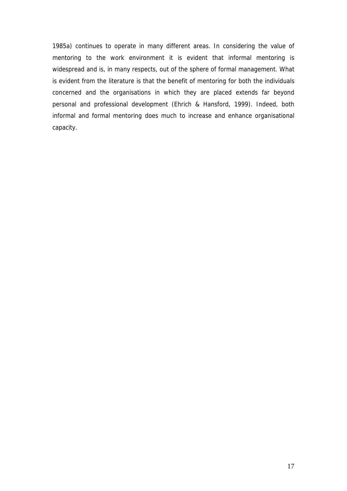1985a) continues to operate in many different areas. In considering the value of mentoring to the work environment it is evident that informal mentoring is widespread and is, in many respects, out of the sphere of formal management. What is evident from the literature is that the benefit of mentoring for both the individuals concerned and the organisations in which they are placed extends far beyond personal and professional development (Ehrich & Hansford, 1999). Indeed, both informal and formal mentoring does much to increase and enhance organisational capacity.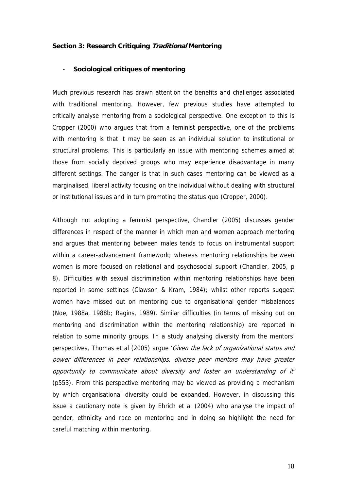#### **Section 3: Research Critiquing Traditional Mentoring**

#### - **Sociological critiques of mentoring**

Much previous research has drawn attention the benefits and challenges associated with traditional mentoring. However, few previous studies have attempted to critically analyse mentoring from a sociological perspective. One exception to this is Cropper (2000) who argues that from a feminist perspective, one of the problems with mentoring is that it may be seen as an individual solution to institutional or structural problems. This is particularly an issue with mentoring schemes aimed at those from socially deprived groups who may experience disadvantage in many different settings. The danger is that in such cases mentoring can be viewed as a marginalised, liberal activity focusing on the individual without dealing with structural or institutional issues and in turn promoting the status quo (Cropper, 2000).

Although not adopting a feminist perspective, Chandler (2005) discusses gender differences in respect of the manner in which men and women approach mentoring and argues that mentoring between males tends to focus on instrumental support within a career-advancement framework; whereas mentoring relationships between women is more focused on relational and psychosocial support (Chandler, 2005, p 8). Difficulties with sexual discrimination within mentoring relationships have been reported in some settings (Clawson & Kram, 1984); whilst other reports suggest women have missed out on mentoring due to organisational gender misbalances (Noe, 1988a, 1988b; Ragins, 1989). Similar difficulties (in terms of missing out on mentoring and discrimination within the mentoring relationship) are reported in relation to some minority groups. In a study analysing diversity from the mentors' perspectives, Thomas et al (2005) argue 'Given the lack of organizational status and power differences in peer relationships, diverse peer mentors may have greater opportunity to communicate about diversity and foster an understanding of it' (p553). From this perspective mentoring may be viewed as providing a mechanism by which organisational diversity could be expanded. However, in discussing this issue a cautionary note is given by Ehrich et al (2004) who analyse the impact of gender, ethnicity and race on mentoring and in doing so highlight the need for careful matching within mentoring.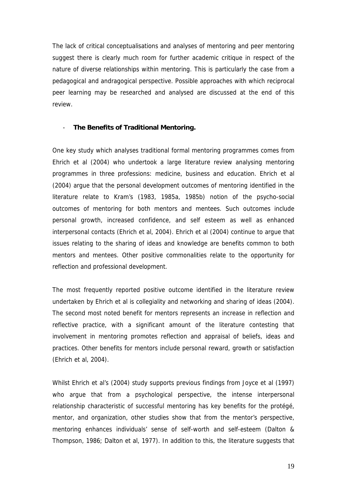The lack of critical conceptualisations and analyses of mentoring and peer mentoring suggest there is clearly much room for further academic critique in respect of the nature of diverse relationships within mentoring. This is particularly the case from a pedagogical and andragogical perspective. Possible approaches with which reciprocal peer learning may be researched and analysed are discussed at the end of this review.

#### - **The Benefits of Traditional Mentoring.**

One key study which analyses traditional formal mentoring programmes comes from Ehrich et al (2004) who undertook a large literature review analysing mentoring programmes in three professions: medicine, business and education. Ehrich et al (2004) argue that the personal development outcomes of mentoring identified in the literature relate to Kram's (1983, 1985a, 1985b) notion of the psycho-social outcomes of mentoring for both mentors and mentees. Such outcomes include personal growth, increased confidence, and self esteem as well as enhanced interpersonal contacts (Ehrich et al, 2004). Ehrich et al (2004) continue to argue that issues relating to the sharing of ideas and knowledge are benefits common to both mentors and mentees. Other positive commonalities relate to the opportunity for reflection and professional development.

The most frequently reported positive outcome identified in the literature review undertaken by Ehrich et al is collegiality and networking and sharing of ideas (2004). The second most noted benefit for mentors represents an increase in reflection and reflective practice, with a significant amount of the literature contesting that involvement in mentoring promotes reflection and appraisal of beliefs, ideas and practices. Other benefits for mentors include personal reward, growth or satisfaction (Ehrich et al, 2004).

Whilst Ehrich et al's (2004) study supports previous findings from Joyce et al (1997) who argue that from a psychological perspective, the intense interpersonal relationship characteristic of successful mentoring has key benefits for the protégé, mentor, and organization, other studies show that from the mentor's perspective, mentoring enhances individuals' sense of self-worth and self-esteem (Dalton & Thompson, 1986; Dalton et al, 1977). In addition to this, the literature suggests that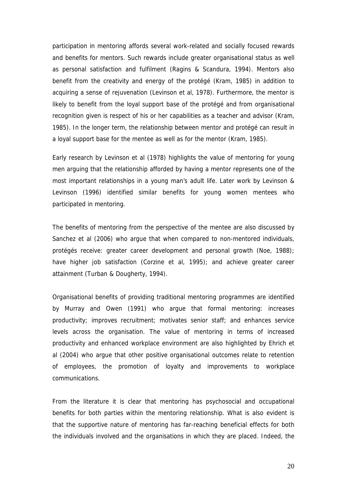participation in mentoring affords several work-related and socially focused rewards and benefits for mentors. Such rewards include greater organisational status as well as personal satisfaction and fulfilment (Ragins & Scandura, 1994). Mentors also benefit from the creativity and energy of the protégé (Kram, 1985) in addition to acquiring a sense of rejuvenation (Levinson et al, 1978). Furthermore, the mentor is likely to benefit from the loyal support base of the protégé and from organisational recognition given is respect of his or her capabilities as a teacher and advisor (Kram, 1985). In the longer term, the relationship between mentor and protégé can result in a loyal support base for the mentee as well as for the mentor (Kram, 1985).

Early research by Levinson et al (1978) highlights the value of mentoring for young men arguing that the relationship afforded by having a mentor represents one of the most important relationships in a young man's adult life. Later work by Levinson & Levinson (1996) identified similar benefits for young women mentees who participated in mentoring.

The benefits of mentoring from the perspective of the mentee are also discussed by Sanchez et al (2006) who argue that when compared to non-mentored individuals, protégés receive: greater career development and personal growth (Noe, 1988); have higher job satisfaction (Corzine et al, 1995); and achieve greater career attainment (Turban & Dougherty, 1994).

Organisational benefits of providing traditional mentoring programmes are identified by Murray and Owen (1991) who argue that formal mentoring: increases productivity; improves recruitment; motivates senior staff; and enhances service levels across the organisation. The value of mentoring in terms of increased productivity and enhanced workplace environment are also highlighted by Ehrich et al (2004) who argue that other positive organisational outcomes relate to retention of employees, the promotion of loyalty and improvements to workplace communications.

From the literature it is clear that mentoring has psychosocial and occupational benefits for both parties within the mentoring relationship. What is also evident is that the supportive nature of mentoring has far-reaching beneficial effects for both the individuals involved and the organisations in which they are placed. Indeed, the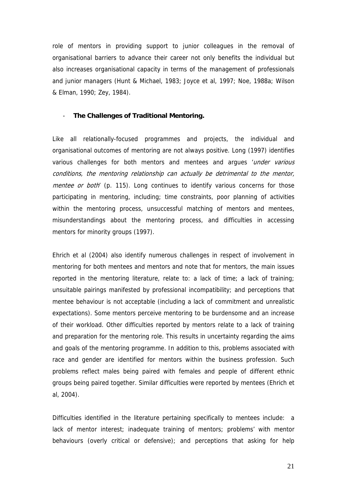role of mentors in providing support to junior colleagues in the removal of organisational barriers to advance their career not only benefits the individual but also increases organisational capacity in terms of the management of professionals and junior managers (Hunt & Michael, 1983; Joyce et al, 1997; Noe, 1988a; Wilson & Elman, 1990; Zey, 1984).

#### - **The Challenges of Traditional Mentoring.**

Like all relationally-focused programmes and projects, the individual and organisational outcomes of mentoring are not always positive. Long (1997) identifies various challenges for both mentors and mentees and argues 'under various' conditions, the mentoring relationship can actually be detrimental to the mentor, mentee or both' (p. 115). Long continues to identify various concerns for those participating in mentoring, including; time constraints, poor planning of activities within the mentoring process, unsuccessful matching of mentors and mentees, misunderstandings about the mentoring process, and difficulties in accessing mentors for minority groups (1997).

Ehrich et al (2004) also identify numerous challenges in respect of involvement in mentoring for both mentees and mentors and note that for mentors, the main issues reported in the mentoring literature, relate to: a lack of time; a lack of training; unsuitable pairings manifested by professional incompatibility; and perceptions that mentee behaviour is not acceptable (including a lack of commitment and unrealistic expectations). Some mentors perceive mentoring to be burdensome and an increase of their workload. Other difficulties reported by mentors relate to a lack of training and preparation for the mentoring role. This results in uncertainty regarding the aims and goals of the mentoring programme. In addition to this, problems associated with race and gender are identified for mentors within the business profession. Such problems reflect males being paired with females and people of different ethnic groups being paired together. Similar difficulties were reported by mentees (Ehrich et al, 2004).

Difficulties identified in the literature pertaining specifically to mentees include: a lack of mentor interest; inadequate training of mentors; problems' with mentor behaviours (overly critical or defensive); and perceptions that asking for help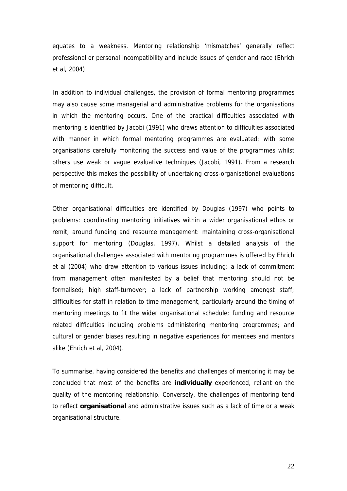equates to a weakness. Mentoring relationship 'mismatches' generally reflect professional or personal incompatibility and include issues of gender and race (Ehrich et al, 2004).

In addition to individual challenges, the provision of formal mentoring programmes may also cause some managerial and administrative problems for the organisations in which the mentoring occurs. One of the practical difficulties associated with mentoring is identified by Jacobi (1991) who draws attention to difficulties associated with manner in which formal mentoring programmes are evaluated; with some organisations carefully monitoring the success and value of the programmes whilst others use weak or vague evaluative techniques (Jacobi, 1991). From a research perspective this makes the possibility of undertaking cross-organisational evaluations of mentoring difficult.

Other organisational difficulties are identified by Douglas (1997) who points to problems: coordinating mentoring initiatives within a wider organisational ethos or remit; around funding and resource management: maintaining cross-organisational support for mentoring (Douglas, 1997). Whilst a detailed analysis of the organisational challenges associated with mentoring programmes is offered by Ehrich et al (2004) who draw attention to various issues including: a lack of commitment from management often manifested by a belief that mentoring should not be formalised; high staff-turnover; a lack of partnership working amongst staff; difficulties for staff in relation to time management, particularly around the timing of mentoring meetings to fit the wider organisational schedule; funding and resource related difficulties including problems administering mentoring programmes; and cultural or gender biases resulting in negative experiences for mentees and mentors alike (Ehrich et al, 2004).

To summarise, having considered the benefits and challenges of mentoring it may be concluded that most of the benefits are **individually** experienced, reliant on the quality of the mentoring relationship. Conversely, the challenges of mentoring tend to reflect **organisational** and administrative issues such as a lack of time or a weak organisational structure.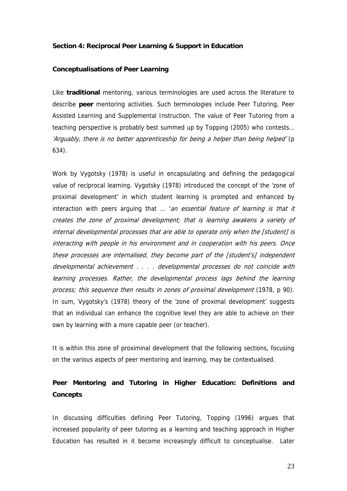#### **Section 4: Reciprocal Peer Learning & Support in Education**

#### **Conceptualisations of Peer Learning**

Like **traditional** mentoring, various terminologies are used across the literature to describe **peer** mentoring activities. Such terminologies include Peer Tutoring, Peer Assisted Learning and Supplemental Instruction. The value of Peer Tutoring from a teaching perspective is probably best summed up by Topping (2005) who contests… 'Arguably, there is no better apprenticeship for being a helper than being helped' (p 634).

Work by Vygotsky (1978) is useful in encapsulating and defining the pedagogical value of reciprocal learning. Vygotsky (1978) introduced the concept of the 'zone of proximal development' in which student learning is prompted and enhanced by interaction with peers arguing that ... 'an essential feature of learning is that it creates the zone of proximal development; that is learning awakens a variety of internal developmental processes that are able to operate only when the [student] is interacting with people in his environment and in cooperation with his peers. Once these processes are internalised, they become part of the [student's] independent developmental achievement . . . . developmental processes do not coincide with learning processes. Rather, the developmental process lags behind the learning process; this sequence then results in zones of proximal development (1978, p 90). In sum, Vygotsky's (1978) theory of the 'zone of proximal development' suggests that an individual can enhance the cognitive level they are able to achieve on their own by learning with a more capable peer (or teacher).

It is within this zone of proximinal development that the following sections, focusing on the various aspects of peer mentoring and learning, may be contextualised.

## **Peer Mentoring and Tutoring in Higher Education: Definitions and Concepts**

In discussing difficulties defining Peer Tutoring, Topping (1996) argues that increased popularity of peer tutoring as a learning and teaching approach in Higher Education has resulted in it become increasingly difficult to conceptualise. Later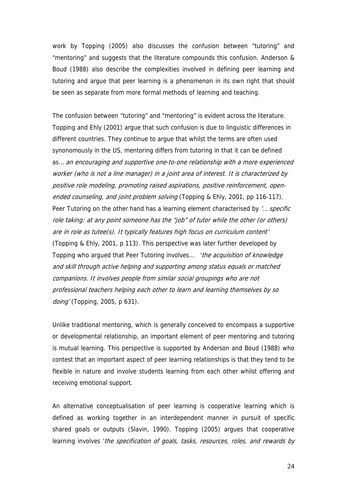work by Topping (2005) also discusses the confusion between "tutoring" and "mentoring" and suggests that the literature compounds this confusion. Anderson & Boud (1988) also describe the complexities involved in defining peer learning and tutoring and argue that peer learning is a phenomenon in its own right that should be seen as separate from more formal methods of learning and teaching.

The confusion between "tutoring" and "mentoring" is evident across the literature. Topping and Ehly (2001) argue that such confusion is due to linguistic differences in different countries. They continue to argue that whilst the terms are often used synonomously in the US, mentoring differs from tutoring in that it can be defined as… an encouraging and supportive one-to-one relationship with a more experienced worker (who is not a line manager) in a joint area of interest. It is characterized by positive role modeling, promoting raised aspirations, positive reinforcement, openended counseling, and joint problem solving (Topping & Ehly, 2001, pp 116-117). Peer Tutoring on the other hand has a learning element characterised by '... specific role taking: at any point someone has the "job" of tutor while the other (or others) are in role as tutee(s). It typically features high focus on curriculum content' (Topping & Ehly, 2001, p 113). This perspective was later further developed by Topping who argued that Peer Tutoring involves... 'the acquisition of knowledge and skill through active helping and supporting among status equals or matched companions. It involves people from similar social groupings who are not professional teachers helping each other to learn and learning themselves by so doing' (Topping, 2005, p 631).

Unlike traditional mentoring, which is generally conceived to encompass a supportive or developmental relationship, an important element of peer mentoring and tutoring is mutual learning. This perspective is supported by Anderson and Boud (1988) who contest that an important aspect of peer learning relationships is that they tend to be flexible in nature and involve students learning from each other whilst offering and receiving emotional support.

An alternative conceptualisation of peer learning is cooperative learning which is defined as working together in an interdependent manner in pursuit of specific shared goals or outputs (Slavin, 1990). Topping (2005) argues that cooperative learning involves 'the specification of goals, tasks, resources, roles, and rewards by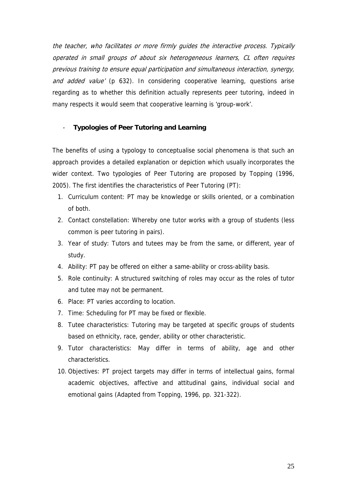the teacher, who facilitates or more firmly guides the interactive process. Typically operated in small groups of about six heterogeneous learners, CL often requires previous training to ensure equal participation and simultaneous interaction, synergy, and added value' (p 632). In considering cooperative learning, questions arise regarding as to whether this definition actually represents peer tutoring, indeed in many respects it would seem that cooperative learning is 'group-work'.

#### - **Typologies of Peer Tutoring and Learning**

The benefits of using a typology to conceptualise social phenomena is that such an approach provides a detailed explanation or depiction which usually incorporates the wider context. Two typologies of Peer Tutoring are proposed by Topping (1996, 2005). The first identifies the characteristics of Peer Tutoring (PT):

- 1. Curriculum content: PT may be knowledge or skills oriented, or a combination of both.
- 2. Contact constellation: Whereby one tutor works with a group of students (less common is peer tutoring in pairs).
- 3. Year of study: Tutors and tutees may be from the same, or different, year of study.
- 4. Ability: PT pay be offered on either a same-ability or cross-ability basis.
- 5. Role continuity: A structured switching of roles may occur as the roles of tutor and tutee may not be permanent.
- 6. Place: PT varies according to location.
- 7. Time: Scheduling for PT may be fixed or flexible.
- 8. Tutee characteristics: Tutoring may be targeted at specific groups of students based on ethnicity, race, gender, ability or other characteristic.
- 9. Tutor characteristics: May differ in terms of ability, age and other characteristics.
- 10. Objectives: PT project targets may differ in terms of intellectual gains, formal academic objectives, affective and attitudinal gains, individual social and emotional gains (Adapted from Topping, 1996, pp. 321-322).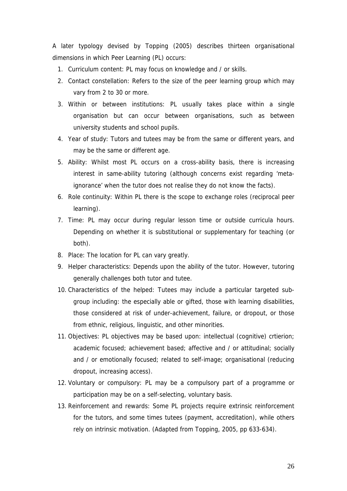A later typology devised by Topping (2005) describes thirteen organisational dimensions in which Peer Learning (PL) occurs:

- 1. Curriculum content: PL may focus on knowledge and / or skills.
- 2. Contact constellation: Refers to the size of the peer learning group which may vary from 2 to 30 or more.
- 3. Within or between institutions: PL usually takes place within a single organisation but can occur between organisations, such as between university students and school pupils.
- 4. Year of study: Tutors and tutees may be from the same or different years, and may be the same or different age.
- 5. Ability: Whilst most PL occurs on a cross-ability basis, there is increasing interest in same-ability tutoring (although concerns exist regarding 'metaignorance' when the tutor does not realise they do not know the facts).
- 6. Role continuity: Within PL there is the scope to exchange roles (reciprocal peer learning).
- 7. Time: PL may occur during regular lesson time or outside curricula hours. Depending on whether it is substitutional or supplementary for teaching (or both).
- 8. Place: The location for PL can vary greatly.
- 9. Helper characteristics: Depends upon the ability of the tutor. However, tutoring generally challenges both tutor and tutee.
- 10. Characteristics of the helped: Tutees may include a particular targeted subgroup including: the especially able or gifted, those with learning disabilities, those considered at risk of under-achievement, failure, or dropout, or those from ethnic, religious, linguistic, and other minorities.
- 11. Objectives: PL objectives may be based upon: intellectual (cognitive) crtierion; academic focused; achievement based; affective and / or attitudinal; socially and / or emotionally focused; related to self-image; organisational (reducing dropout, increasing access).
- 12. Voluntary or compulsory: PL may be a compulsory part of a programme or participation may be on a self-selecting, voluntary basis.
- 13. Reinforcement and rewards: Some PL projects require extrinsic reinforcement for the tutors, and some times tutees (payment, accreditation), while others rely on intrinsic motivation. (Adapted from Topping, 2005, pp 633-634).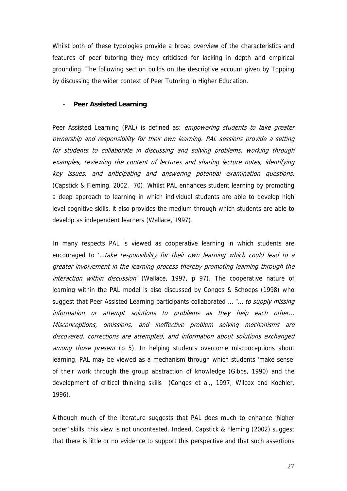Whilst both of these typologies provide a broad overview of the characteristics and features of peer tutoring they may criticised for lacking in depth and empirical grounding. The following section builds on the descriptive account given by Topping by discussing the wider context of Peer Tutoring in Higher Education.

#### **Peer Assisted Learning**

Peer Assisted Learning (PAL) is defined as: *empowering students to take greater* ownership and responsibility for their own learning. PAL sessions provide a setting for students to collaborate in discussing and solving problems, working through examples, reviewing the content of lectures and sharing lecture notes, identifying key issues, and anticipating and answering potential examination questions. (Capstick & Fleming, 2002, 70). Whilst PAL enhances student learning by promoting a deep approach to learning in which individual students are able to develop high level cognitive skills, it also provides the medium through which students are able to develop as independent learners (Wallace, 1997).

In many respects PAL is viewed as cooperative learning in which students are encouraged to '...take responsibility for their own learning which could lead to a greater involvement in the learning process thereby promoting learning through the interaction within discussion' (Wallace, 1997, p 97). The cooperative nature of learning within the PAL model is also discussed by Congos & Schoeps (1998) who suggest that Peer Assisted Learning participants collaborated ... "... to supply missing information or attempt solutions to problems as they help each other... Misconceptions, omissions, and ineffective problem solving mechanisms are discovered, corrections are attempted, and information about solutions exchanged among those present (p 5). In helping students overcome misconceptions about learning, PAL may be viewed as a mechanism through which students 'make sense' of their work through the group abstraction of knowledge (Gibbs, 1990) and the development of critical thinking skills (Congos et al., 1997; Wilcox and Koehler, 1996).

Although much of the literature suggests that PAL does much to enhance 'higher order' skills, this view is not uncontested. Indeed, Capstick & Fleming (2002) suggest that there is little or no evidence to support this perspective and that such assertions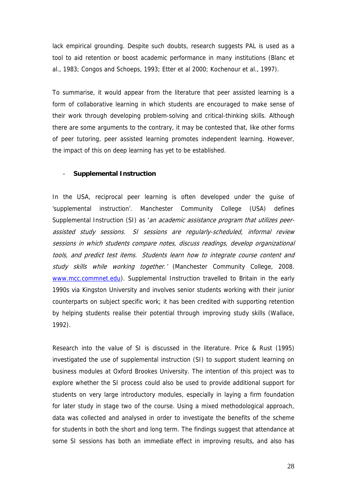lack empirical grounding. Despite such doubts, research suggests PAL is used as a tool to aid retention or boost academic performance in many institutions (Blanc et al., 1983; Congos and Schoeps, 1993; Etter et al 2000; Kochenour et al., 1997).

To summarise, it would appear from the literature that peer assisted learning is a form of collaborative learning in which students are encouraged to make sense of their work through developing problem-solving and critical-thinking skills. Although there are some arguments to the contrary, it may be contested that, like other forms of peer tutoring, peer assisted learning promotes independent learning. However, the impact of this on deep learning has yet to be established.

#### - **Supplemental Instruction**

In the USA, reciprocal peer learning is often developed under the guise of 'supplemental instruction'. Manchester Community College (USA) defines Supplemental Instruction (SI) as 'an academic assistance program that utilizes peerassisted study sessions. SI sessions are regularly-scheduled, informal review sessions in which students compare notes, discuss readings, develop organizational tools, and predict test items. Students learn how to integrate course content and study skills while working together.' (Manchester Community College, 2008. [www.mcc.commnet.edu](http://www.mcc.commnet.edu/)). Supplemental Instruction travelled to Britain in the early 1990s via Kingston University and involves senior students working with their junior counterparts on subject specific work; it has been credited with supporting retention by helping students realise their potential through improving study skills (Wallace, 1992).

Research into the value of SI is discussed in the literature. Price & Rust (1995) investigated the use of supplemental instruction (SI) to support student learning on business modules at Oxford Brookes University. The intention of this project was to explore whether the SI process could also be used to provide additional support for students on very large introductory modules, especially in laying a firm foundation for later study in stage two of the course. Using a mixed methodological approach, data was collected and analysed in order to investigate the benefits of the scheme for students in both the short and long term. The findings suggest that attendance at some SI sessions has both an immediate effect in improving results, and also has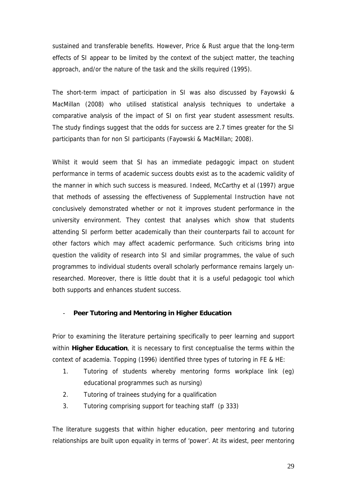sustained and transferable benefits. However, Price & Rust argue that the long-term effects of SI appear to be limited by the context of the subject matter, the teaching approach, and/or the nature of the task and the skills required (1995).

The short-term impact of participation in SI was also discussed by Fayowski & MacMillan (2008) who utilised statistical analysis techniques to undertake a comparative analysis of the impact of SI on first year student assessment results. The study findings suggest that the odds for success are 2.7 times greater for the SI participants than for non SI participants (Fayowski & MacMillan; 2008).

Whilst it would seem that SI has an immediate pedagogic impact on student performance in terms of academic success doubts exist as to the academic validity of the manner in which such success is measured. Indeed, McCarthy et al (1997) argue that methods of assessing the effectiveness of Supplemental Instruction have not conclusively demonstrated whether or not it improves student performance in the university environment. They contest that analyses which show that students attending SI perform better academically than their counterparts fail to account for other factors which may affect academic performance. Such criticisms bring into question the validity of research into SI and similar programmes, the value of such programmes to individual students overall scholarly performance remains largely unresearched. Moreover, there is little doubt that it is a useful pedagogic tool which both supports and enhances student success.

#### - **Peer Tutoring and Mentoring in Higher Education**

Prior to examining the literature pertaining specifically to peer learning and support within **Higher Education**, it is necessary to first conceptualise the terms within the context of academia. Topping (1996) identified three types of tutoring in FE & HE:

- 1. Tutoring of students whereby mentoring forms workplace link (eg) educational programmes such as nursing)
- 2. Tutoring of trainees studying for a qualification
- 3. Tutoring comprising support for teaching staff (p 333)

The literature suggests that within higher education, peer mentoring and tutoring relationships are built upon equality in terms of 'power'. At its widest, peer mentoring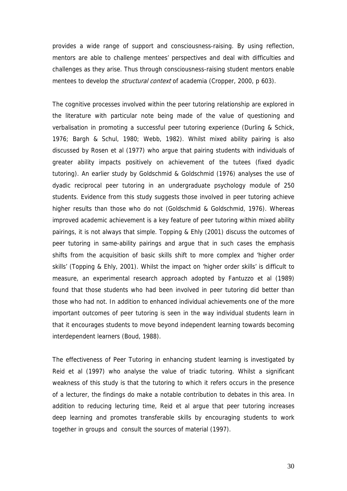provides a wide range of support and consciousness-raising. By using reflection, mentors are able to challenge mentees' perspectives and deal with difficulties and challenges as they arise. Thus through consciousness-raising student mentors enable mentees to develop the *structural context* of academia (Cropper, 2000, p 603).

The cognitive processes involved within the peer tutoring relationship are explored in the literature with particular note being made of the value of questioning and verbalisation in promoting a successful peer tutoring experience (Durling & Schick, 1976; Bargh & Schul, 1980; Webb, 1982). Whilst mixed ability pairing is also discussed by Rosen et al (1977) who argue that pairing students with individuals of greater ability impacts positively on achievement of the tutees (fixed dyadic tutoring). An earlier study by Goldschmid & Goldschmid (1976) analyses the use of dyadic reciprocal peer tutoring in an undergraduate psychology module of 250 students. Evidence from this study suggests those involved in peer tutoring achieve higher results than those who do not (Goldschmid & Goldschmid, 1976). Whereas improved academic achievement is a key feature of peer tutoring within mixed ability pairings, it is not always that simple. Topping & Ehly (2001) discuss the outcomes of peer tutoring in same-ability pairings and argue that in such cases the emphasis shifts from the acquisition of basic skills shift to more complex and 'higher order skills' (Topping & Ehly, 2001). Whilst the impact on 'higher order skills' is difficult to measure, an experimental research approach adopted by Fantuzzo et al (1989) found that those students who had been involved in peer tutoring did better than those who had not. In addition to enhanced individual achievements one of the more important outcomes of peer tutoring is seen in the way individual students learn in that it encourages students to move beyond independent learning towards becoming interdependent learners (Boud, 1988).

The effectiveness of Peer Tutoring in enhancing student learning is investigated by Reid et al (1997) who analyse the value of triadic tutoring. Whilst a significant weakness of this study is that the tutoring to which it refers occurs in the presence of a lecturer, the findings do make a notable contribution to debates in this area. In addition to reducing lecturing time, Reid et al argue that peer tutoring increases deep learning and promotes transferable skills by encouraging students to work together in groups and consult the sources of material (1997).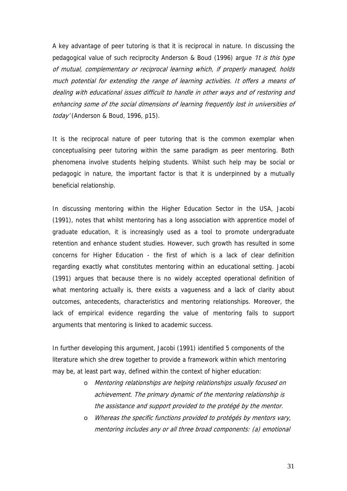A key advantage of peer tutoring is that it is reciprocal in nature. In discussing the pedagogical value of such reciprocity Anderson & Boud (1996) argue 'It is this type of mutual, complementary or reciprocal learning which, if properly managed, holds much potential for extending the range of learning activities. It offers a means of dealing with educational issues difficult to handle in other ways and of restoring and enhancing some of the social dimensions of learning frequently lost in universities of today' (Anderson & Boud, 1996, p15).

It is the reciprocal nature of peer tutoring that is the common exemplar when conceptualising peer tutoring within the same paradigm as peer mentoring. Both phenomena involve students helping students. Whilst such help may be social or pedagogic in nature, the important factor is that it is underpinned by a mutually beneficial relationship.

In discussing mentoring within the Higher Education Sector in the USA, Jacobi (1991), notes that whilst mentoring has a long association with apprentice model of graduate education, it is increasingly used as a tool to promote undergraduate retention and enhance student studies. However, such growth has resulted in some concerns for Higher Education - the first of which is a lack of clear definition regarding exactly what constitutes mentoring within an educational setting. Jacobi (1991) argues that because there is no widely accepted operational definition of what mentoring actually is, there exists a vagueness and a lack of clarity about outcomes, antecedents, characteristics and mentoring relationships. Moreover, the lack of empirical evidence regarding the value of mentoring fails to support arguments that mentoring is linked to academic success.

In further developing this argument, Jacobi (1991) identified 5 components of the literature which she drew together to provide a framework within which mentoring may be, at least part way, defined within the context of higher education:

- o Mentoring relationships are helping relationships usually focused on achievement. The primary dynamic of the mentoring relationship is the assistance and support provided to the protégé by the mentor.
- o Whereas the specific functions provided to protégés by mentors vary, mentoring includes any or all three broad components: (a) emotional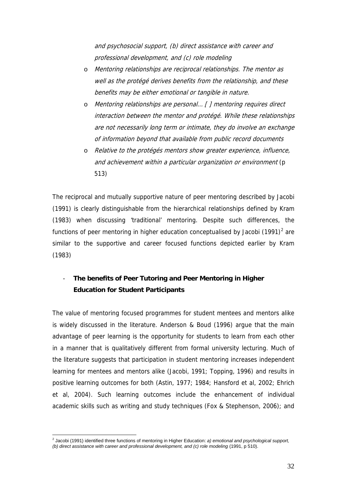and psychosocial support, (b) direct assistance with career and professional development, and (c) role modeling

- o Mentoring relationships are reciprocal relationships. The mentor as well as the protégé derives benefits from the relationship, and these benefits may be either emotional or tangible in nature.
- o Mentoring relationships are personal... [ ] mentoring requires direct interaction between the mentor and protégé. While these relationships are not necessarily long term or intimate, they do involve an exchange of information beyond that available from public record documents
- o Relative to the protégés mentors show greater experience, influence, and achievement within a particular organization or environment (p 513)

The reciprocal and mutually supportive nature of peer mentoring described by Jacobi (1991) is clearly distinguishable from the hierarchical relationships defined by Kram (1983) when discussing 'traditional' mentoring. Despite such differences, the functions of peer mentoring in higher education conceptualised by Jacobi  $(1991)^2$  $(1991)^2$  are similar to the supportive and career focused functions depicted earlier by Kram (1983)

## - **The benefits of Peer Tutoring and Peer Mentoring in Higher Education for Student Participants**

The value of mentoring focused programmes for student mentees and mentors alike is widely discussed in the literature. Anderson & Boud (1996) argue that the main advantage of peer learning is the opportunity for students to learn from each other in a manner that is qualitatively different from formal university lecturing. Much of the literature suggests that participation in student mentoring increases independent learning for mentees and mentors alike (Jacobi, 1991; Topping, 1996) and results in positive learning outcomes for both (Astin, 1977; 1984; Hansford et al, 2002; Ehrich et al, 2004). Such learning outcomes include the enhancement of individual academic skills such as writing and study techniques (Fox & Stephenson, 2006); and

<span id="page-31-0"></span> 2 Jacobi (1991) identified three functions of mentoring in Higher Education: *a) emotional and psychological support, (b) direct assistance with career and professional development, and (c) role modeling (1991, p 510).*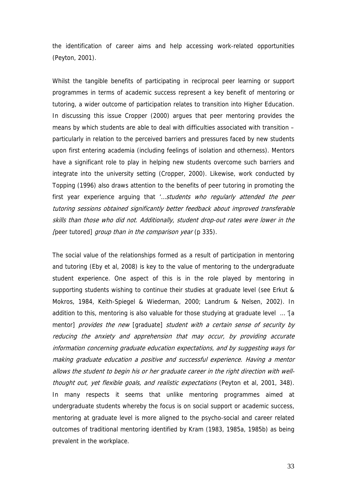the identification of career aims and help accessing work-related opportunities (Peyton, 2001).

Whilst the tangible benefits of participating in reciprocal peer learning or support programmes in terms of academic success represent a key benefit of mentoring or tutoring, a wider outcome of participation relates to transition into Higher Education. In discussing this issue Cropper (2000) argues that peer mentoring provides the means by which students are able to deal with difficulties associated with transition – particularly in relation to the perceived barriers and pressures faced by new students upon first entering academia (including feelings of isolation and otherness). Mentors have a significant role to play in helping new students overcome such barriers and integrate into the university setting (Cropper, 2000). Likewise, work conducted by Topping (1996) also draws attention to the benefits of peer tutoring in promoting the first year experience arguing that '...*students who regularly attended the peer* tutoring sessions obtained significantly better feedback about improved transferable skills than those who did not. Additionally, student drop-out rates were lower in the [peer tutored] group than in the comparison year (p 335).

The social value of the relationships formed as a result of participation in mentoring and tutoring (Eby et al, 2008) is key to the value of mentoring to the undergraduate student experience. One aspect of this is in the role played by mentoring in supporting students wishing to continue their studies at graduate level (see Erkut & Mokros, 1984, Keith-Spiegel & Wiederman, 2000; Landrum & Nelsen, 2002). In addition to this, mentoring is also valuable for those studying at graduate level … '[a mentor] provides the new [graduate] student with a certain sense of security by reducing the anxiety and apprehension that may occur, by providing accurate information concerning graduate education expectations, and by suggesting ways for making graduate education a positive and successful experience. Having a mentor allows the student to begin his or her graduate career in the right direction with wellthought out, yet flexible goals, and realistic expectations (Peyton et al, 2001, 348). In many respects it seems that unlike mentoring programmes aimed at undergraduate students whereby the focus is on social support or academic success, mentoring at graduate level is more aligned to the psycho-social and career related outcomes of traditional mentoring identified by Kram (1983, 1985a, 1985b) as being prevalent in the workplace.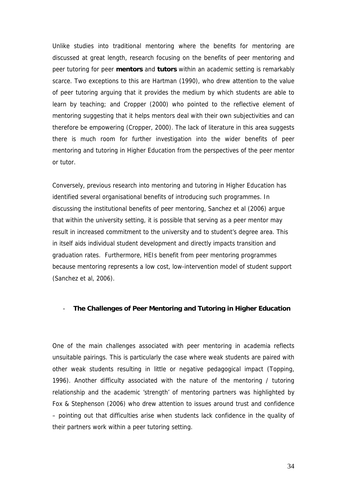Unlike studies into traditional mentoring where the benefits for mentoring are discussed at great length, research focusing on the benefits of peer mentoring and peer tutoring for peer **mentors** and **tutors** within an academic setting is remarkably scarce. Two exceptions to this are Hartman (1990), who drew attention to the value of peer tutoring arguing that it provides the medium by which students are able to learn by teaching; and Cropper (2000) who pointed to the reflective element of mentoring suggesting that it helps mentors deal with their own subjectivities and can therefore be empowering (Cropper, 2000). The lack of literature in this area suggests there is much room for further investigation into the wider benefits of peer mentoring and tutoring in Higher Education from the perspectives of the peer mentor or tutor.

Conversely, previous research into mentoring and tutoring in Higher Education has identified several organisational benefits of introducing such programmes. In discussing the institutional benefits of peer mentoring, Sanchez et al (2006) argue that within the university setting, it is possible that serving as a peer mentor may result in increased commitment to the university and to student's degree area. This in itself aids individual student development and directly impacts transition and graduation rates. Furthermore, HEIs benefit from peer mentoring programmes because mentoring represents a low cost, low-intervention model of student support (Sanchez et al, 2006).

#### - **The Challenges of Peer Mentoring and Tutoring in Higher Education**

One of the main challenges associated with peer mentoring in academia reflects unsuitable pairings. This is particularly the case where weak students are paired with other weak students resulting in little or negative pedagogical impact (Topping, 1996). Another difficulty associated with the nature of the mentoring / tutoring relationship and the academic 'strength' of mentoring partners was highlighted by Fox & Stephenson (2006) who drew attention to issues around trust and confidence – pointing out that difficulties arise when students lack confidence in the quality of their partners work within a peer tutoring setting.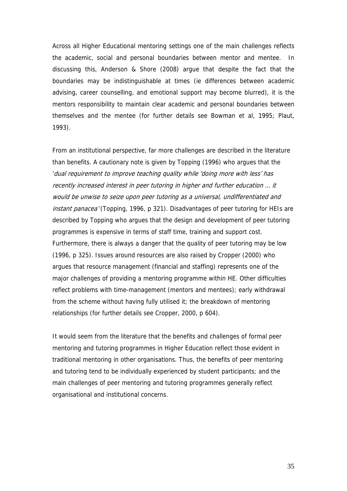Across all Higher Educational mentoring settings one of the main challenges reflects the academic, social and personal boundaries between mentor and mentee. In discussing this, Anderson & Shore (2008) argue that despite the fact that the boundaries may be indistinguishable at times (ie differences between academic advising, career counselling, and emotional support may become blurred), it is the mentors responsibility to maintain clear academic and personal boundaries between themselves and the mentee (for further details see Bowman et al, 1995; Plaut, 1993).

From an institutional perspective, far more challenges are described in the literature than benefits. A cautionary note is given by Topping (1996) who argues that the 'dual requirement to improve teaching quality while 'doing more with less' has recently increased interest in peer tutoring in higher and further education … it would be unwise to seize upon peer tutoring as a universal, undifferentiated and instant panacea' (Topping, 1996, p 321). Disadvantages of peer tutoring for HEIs are described by Topping who argues that the design and development of peer tutoring programmes is expensive in terms of staff time, training and support cost. Furthermore, there is always a danger that the quality of peer tutoring may be low (1996, p 325). Issues around resources are also raised by Cropper (2000) who argues that resource management (financial and staffing) represents one of the major challenges of providing a mentoring programme within HE. Other difficulties reflect problems with time-management (mentors and mentees); early withdrawal from the scheme without having fully utilised it; the breakdown of mentoring relationships (for further details see Cropper, 2000, p 604).

It would seem from the literature that the benefits and challenges of formal peer mentoring and tutoring programmes in Higher Education reflect those evident in traditional mentoring in other organisations. Thus, the benefits of peer mentoring and tutoring tend to be individually experienced by student participants; and the main challenges of peer mentoring and tutoring programmes generally reflect organisational and institutional concerns.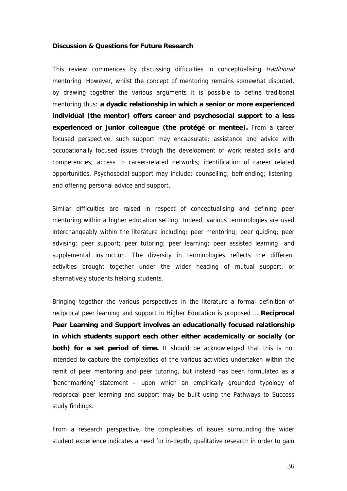#### **Discussion & Questions for Future Research**

This review commences by discussing difficulties in conceptualising *traditional* mentoring. However, whilst the concept of mentoring remains somewhat disputed, by drawing together the various arguments it is possible to define traditional mentoring thus: **a dyadic relationship in which a senior or more experienced individual (the mentor) offers career and psychosocial support to a less experienced or junior colleague (the protégé or mentee).** From a career focused perspective, such support may encapsulate: assistance and advice with occupationally focused issues through the development of work related skills and competencies; access to career-related networks; identification of career related opportunities. Psychosocial support may include: counselling; befriending; listening; and offering personal advice and support.

Similar difficulties are raised in respect of conceptualising and defining peer mentoring within a higher education setting. Indeed, various terminologies are used interchangeably within the literature including: peer mentoring; peer guiding; peer advising; peer support; peer tutoring; peer learning; peer assisted learning; and supplemental instruction. The diversity in terminologies reflects the different activities brought together under the wider heading of mutual support, or alternatively students helping students.

Bringing together the various perspectives in the literature a formal definition of reciprocal peer learning and support in Higher Education is proposed … **Reciprocal Peer Learning and Support involves an educationally focused relationship in which students support each other either academically or socially (or both) for a set period of time.** It should be acknowledged that this is not intended to capture the complexities of the various activities undertaken within the remit of peer mentoring and peer tutoring, but instead has been formulated as a 'benchmarking' statement – upon which an empirically grounded typology of reciprocal peer learning and support may be built using the Pathways to Success study findings.

From a research perspective, the complexities of issues surrounding the wider student experience indicates a need for in-depth, qualitative research in order to gain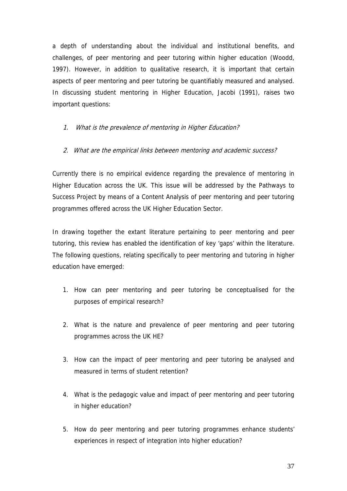a depth of understanding about the individual and institutional benefits, and challenges, of peer mentoring and peer tutoring within higher education (Woodd, 1997). However, in addition to qualitative research, it is important that certain aspects of peer mentoring and peer tutoring be quantifiably measured and analysed. In discussing student mentoring in Higher Education, Jacobi (1991), raises two important questions:

#### 1. What is the prevalence of mentoring in Higher Education?

#### 2. What are the empirical links between mentoring and academic success?

Currently there is no empirical evidence regarding the prevalence of mentoring in Higher Education across the UK. This issue will be addressed by the Pathways to Success Project by means of a Content Analysis of peer mentoring and peer tutoring programmes offered across the UK Higher Education Sector.

In drawing together the extant literature pertaining to peer mentoring and peer tutoring, this review has enabled the identification of key 'gaps' within the literature. The following questions, relating specifically to peer mentoring and tutoring in higher education have emerged:

- 1. How can peer mentoring and peer tutoring be conceptualised for the purposes of empirical research?
- 2. What is the nature and prevalence of peer mentoring and peer tutoring programmes across the UK HE?
- 3. How can the impact of peer mentoring and peer tutoring be analysed and measured in terms of student retention?
- 4. What is the pedagogic value and impact of peer mentoring and peer tutoring in higher education?
- 5. How do peer mentoring and peer tutoring programmes enhance students' experiences in respect of integration into higher education?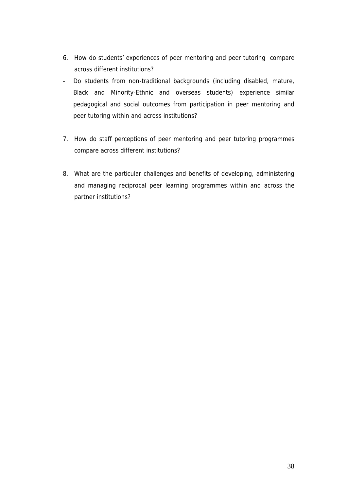- 6. How do students' experiences of peer mentoring and peer tutoring compare across different institutions?
- Do students from non-traditional backgrounds (including disabled, mature, Black and Minority-Ethnic and overseas students) experience similar pedagogical and social outcomes from participation in peer mentoring and peer tutoring within and across institutions?
- 7. How do staff perceptions of peer mentoring and peer tutoring programmes compare across different institutions?
- 8. What are the particular challenges and benefits of developing, administering and managing reciprocal peer learning programmes within and across the partner institutions?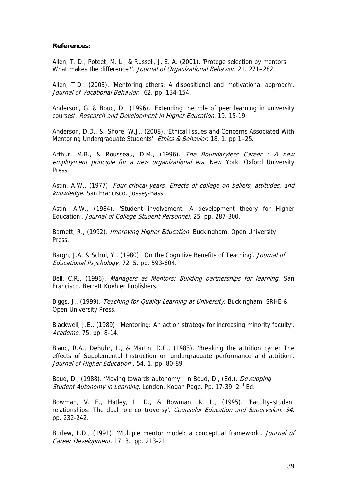#### **References:**

Allen, T. D., Poteet, M. L., & Russell, J. E. A. (2001). 'Protege selection by mentors: What makes the difference?'. Journal of Organizational Behavior. 21. 271-282.

Allen, T.D., (2003). 'Mentoring others: A dispositional and motivational approach'. Journal of Vocational Behavior. 62. pp. 134-154.

Anderson, G. & Boud, D., (1996). 'Extending the role of peer learning in university courses'. Research and Development in Higher Education. 19. 15-19.

Anderson, D.D., & Shore, W.J., (2008). 'Ethical Issues and Concerns Associated With Mentoring Undergraduate Students'. Ethics & Behavior. 18. 1. pp 1-25.

Arthur, M.B., & Rousseau, D.M., (1996). The Boundaryless Career : A new employment principle for a new organizational era. New York. Oxford University Press.

Astin, A.W., (1977). Four critical years: Effects of college on beliefs, attitudes, and knowledge. San Francisco. Jossey-Bass.

Astin, A.W., (1984). 'Student involvement: A development theory for Higher Education'. Journal of College Student Personnel. 25. pp. 287-300.

Barnett, R., (1992). *Improving Higher Education*. Buckingham. Open University Press.

Bargh, J.A. & Schul, Y., (1980). 'On the Cognitive Benefits of Teaching'. Journal of Educational Psychology. 72. 5. pp. 593-604.

Bell, C.R., (1996). Managers as Mentors: Building partnerships for learning. San Francisco. Berrett Koehler Publishers.

Biggs, J., (1999). Teaching for Quality Learning at University. Buckingham. SRHE & Open University Press.

Blackwell, J.E., (1989). 'Mentoring: An action strategy for increasing minority faculty'. Academe. 75. pp. 8-14.

Blanc, R.A., DeBuhr, L., & Martin, D.C., (1983). 'Breaking the attrition cycle: The effects of Supplemental Instruction on undergraduate performance and attrition'. Journal of Higher Education . 54. 1. pp. 80-89.

Boud, D., (1988). 'Moving towards autonomy'. In Boud, D., (Ed.). Developing Student Autonomy in Learning. London. Kogan Page. Pp. 17-39. 2<sup>nd</sup> Ed.

Bowman, V. E., Hatley, L. D., & Bowman, R. L., (1995). 'Faculty–student relationships: The dual role controversy'. Counselor Education and Supervision. 34. pp. 232-242.

Burlew, L.D., (1991). 'Multiple mentor model: a conceptual framework'. Journal of Career Development. 17. 3. pp. 213-21.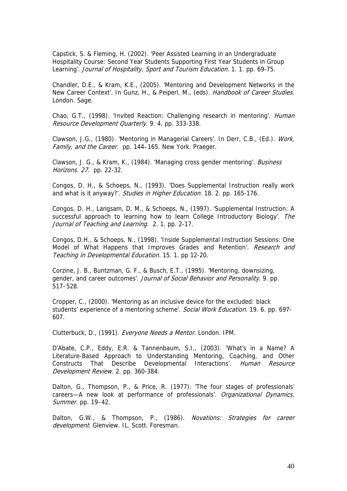Capstick, S. & Fleming, H. (2002). 'Peer Assisted Learning in an Undergraduate Hospitality Course: Second Year Students Supporting First Year Students in Group Learning'. Journal of Hospitality, Sport and Tourism Education. 1. 1. pp. 69-75.

Chandler, D.E., & Kram, K.E., (2005). 'Mentoring and Development Networks in the New Career Context'. In Gunz, H., & Peiperl, M., (eds). Handbook of Career Studies. London. Sage.

Chao, G.T., (1998). 'Invited Reaction: Challenging research in mentoring'. Human Resource Development Quarterly. 9. 4. pp. 333-338.

Clawson, J.G., (1980). 'Mentoring in Managerial Careers'. In Derr, C.B., (Ed.). Work, Family, and the Career. pp. 144–165. New York. Praeger.

Clawson, J. G., & Kram, K., (1984). 'Managing cross gender mentoring'. Business Horizons. 27. pp. 22-32.

Congos, D. H., & Schoeps, N., (1993). 'Does Supplemental Instruction really work and what is it anyway?'. Studies in Higher Education. 18. 2. pp. 165-176.

Congos, D. H., Langsam, D. M., & Schoeps, N., (1997). 'Supplemental Instruction: A successful approach to learning how to learn College Introductory Biology'. The Journal of Teaching and Learning. 2. 1. pp. 2-17.

Congos, D.H., & Schoeps, N., (1998). 'Inside Supplemental Instruction Sessions: One Model of What Happens that Improves Grades and Retention'. Research and Teaching in Developmental Education. 15. 1. pp 12-20.

Corzine, J. B., Buntzman, G. F., & Busch, E.T., (1995). 'Mentoring, downsizing, gender, and career outcomes'. Journal of Social Behavior and Personality. 9. pp. 517–528.

Cropper, C., (2000). 'Mentoring as an inclusive device for the excluded: black students' experience of a mentoring scheme'. Social Work Education. 19. 6. pp. 697-607.

Clutterbuck, D., (1991). Everyone Needs a Mentor. London. IPM.

D'Abate, C.P., Eddy, E.R. & Tannenbaum, S.I., (2003). 'What's in a Name? A Literature-Based Approach to Understanding Mentoring, Coaching, and Other Constructs That Describe Developmental Interactions'. Human Resource Development Review. 2. pp. 360-384.

Dalton, G., Thompson, P., & Price, R. (1977). 'The four stages of professionals' careers—A new look at performance of professionals'. Organizational Dynamics, Summer. pp. 19–42.

Dalton, G.W., & Thompson, P., (1986). Novations: Strategies for career development. Glenview. IL. Scott. Foresman.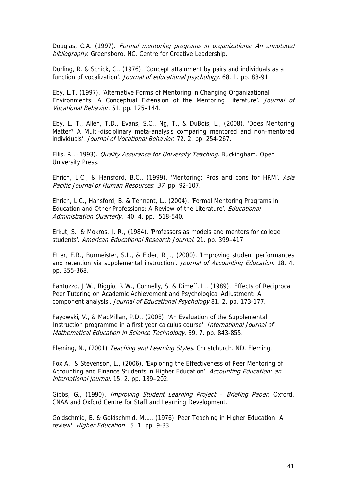Douglas, C.A. (1997). Formal mentoring programs in organizations: An annotated bibliography. Greensboro. NC. Centre for Creative Leadership.

Durling, R. & Schick, C., (1976). 'Concept attainment by pairs and individuals as a function of vocalization'. Journal of educational psychology. 68. 1. pp. 83-91.

Eby, L.T. (1997). 'Alternative Forms of Mentoring in Changing Organizational Environments: A Conceptual Extension of the Mentoring Literature'. Journal of Vocational Behavior. 51. pp. 125–144.

Eby, L. T., Allen, T.D., Evans, S.C., Ng, T., & DuBois, L., (2008). 'Does Mentoring Matter? A Multi-disciplinary meta-analysis comparing mentored and non-mentored individuals'. Journal of Vocational Behavior. 72. 2. pp. 254-267.

Ellis, R., (1993). Quality Assurance for University Teaching. Buckingham. Open University Press.

Ehrich, L.C., & Hansford, B.C., (1999). 'Mentoring: Pros and cons for HRM'. Asia Pacific Journal of Human Resources. 37. pp. 92-107.

Ehrich, L.C., Hansford, B. & Tennent, L., (2004). 'Formal Mentoring Programs in Education and Other Professions: A Review of the Literature'. Educational Administration Quarterly. 40. 4. pp. 518-540.

Erkut, S. & Mokros, J. R., (1984). 'Professors as models and mentors for college students'. American Educational Research Journal. 21. pp. 399–417.

Etter, E.R., Burmeister, S.L., & Elder, R.J., (2000). 'Improving student performances and retention via supplemental instruction'. Journal of Accounting Education. 18. 4. pp. 355-368.

Fantuzzo, J.W., Riggio, R.W., Connelly, S. & Dimeff, L., (1989). 'Effects of Reciprocal Peer Tutoring on Academic Achievement and Psychological Adjustment: A component analysis'. Journal of Educational Psychology 81. 2. pp. 173-177.

Fayowski, V., & MacMillan, P.D., (2008). 'An Evaluation of the Supplemental Instruction programme in a first year calculus course'. International Journal of Mathematical Education in Science Technology. 39. 7. pp. 843-855.

Fleming, N., (2001) Teaching and Learning Styles. Christchurch. ND. Fleming.

Fox A. & Stevenson, L., (2006). 'Exploring the Effectiveness of Peer Mentoring of Accounting and Finance Students in Higher Education'. Accounting Education: an international journal. 15. 2. pp. 189–202.

Gibbs, G., (1990). Improving Student Learning Project - Briefing Paper. Oxford. CNAA and Oxford Centre for Staff and Learning Development.

Goldschmid, B. & Goldschmid, M.L., (1976) 'Peer Teaching in Higher Education: A review'. Higher Education. 5. 1. pp. 9-33.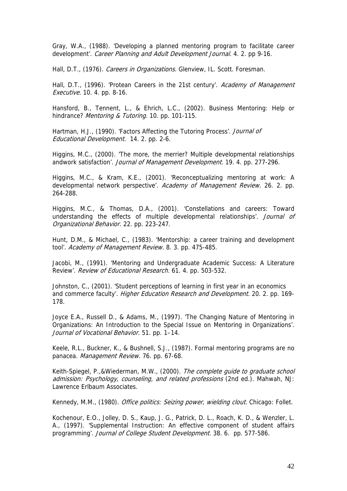Gray, W.A., (1988). 'Developing a planned mentoring program to facilitate career development'. Career Planning and Adult Development Journal. 4. 2. pp 9-16.

Hall, D.T., (1976). Careers in Organizations. Glenview, IL. Scott. Foresman.

Hall, D.T., (1996). 'Protean Careers in the 21st century'. Academy of Management Executive. 10. 4. pp. 8-16.

Hansford, B., Tennent, L., & Ehrich, L.C., (2002). Business Mentoring: Help or hindrance? Mentoring & Tutoring. 10. pp. 101-115.

Hartman, H.J., (1990). 'Factors Affecting the Tutoring Process'. *Journal of* Educational Development. 14. 2. pp. 2-6.

Higgins, M.C., (2000). 'The more, the merrier? Multiple developmental relationships andwork satisfaction'. Journal of Management Development. 19. 4. pp. 277-296.

Higgins, M.C., & Kram, K.E., (2001). 'Reconceptualizing mentoring at work: A developmental network perspective'. Academy of Management Review. 26. 2. pp. 264-288.

Higgins, M.C., & Thomas, D.A., (2001). 'Constellations and careers: Toward understanding the effects of multiple developmental relationships'. Journal of Organizational Behavior. 22. pp. 223-247.

Hunt, D.M., & Michael, C., (1983). 'Mentorship: a career training and development tool'. Academy of Management Review. 8. 3. pp. 475-485.

Jacobi, M., (1991). 'Mentoring and Undergraduate Academic Success: A Literature Review'. Review of Educational Research. 61. 4. pp. 503-532.

Johnston, C., (2001). 'Student perceptions of learning in first year in an economics and commerce faculty'. Higher Education Research and Development. 20. 2. pp. 169-178.

Joyce E.A., Russell D., & Adams, M., (1997). 'The Changing Nature of Mentoring in Organizations: An Introduction to the Special Issue on Mentoring in Organizations'. Journal of Vocational Behavior. 51. pp. 1–14.

Keele, R.L., Buckner, K., & Bushnell, S.J., (1987). Formal mentoring programs are no panacea. Management Review. 76. pp. 67-68.

Keith-Spiegel, P.,&Wiederman, M.W., (2000). The complete quide to graduate school admission: Psychology, counseling, and related professions (2nd ed.). Mahwah, NJ: Lawrence Erlbaum Associates.

Kennedy, M.M., (1980). Office politics: Seizing power, wielding clout. Chicago: Follet.

Kochenour, E.O., Jolley, D. S., Kaup, J. G., Patrick, D. L., Roach, K. D., & Wenzler, L. A., (1997). 'Supplemental Instruction: An effective component of student affairs programming'. Journal of College Student Development. 38. 6. pp. 577-586.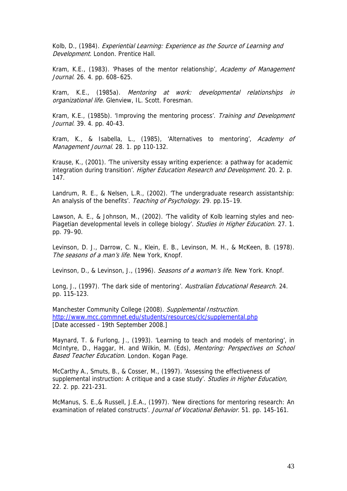Kolb, D., (1984). Experiential Learning: Experience as the Source of Learning and Development. London. Prentice Hall.

Kram, K.E., (1983). 'Phases of the mentor relationship', Academy of Management Journal. 26. 4. pp. 608–625.

Kram, K.E., (1985a). Mentoring at work: developmental relationships in organizational life. Glenview, IL. Scott. Foresman.

Kram, K.E., (1985b). 'Improving the mentoring process'. Training and Development Journal. 39. 4. pp. 40-43.

Kram, K., & Isabella, L., (1985), 'Alternatives to mentoring', Academy of Management Journal. 28. 1. pp 110-132.

Krause, K., (2001). 'The university essay writing experience: a pathway for academic integration during transition'. Higher Education Research and Development. 20. 2. p. 147.

Landrum, R. E., & Nelsen, L.R., (2002). 'The undergraduate research assistantship: An analysis of the benefits'. Teaching of Psychology. 29. pp.15-19.

Lawson, A. E., & Johnson, M., (2002). 'The validity of Kolb learning styles and neo-Piagetian developmental levels in college biology'. Studies in Higher Education. 27. 1. pp. 79–90.

Levinson, D. J., Darrow, C. N., Klein, E. B., Levinson, M. H., & McKeen, B. (1978). The seasons of a man's life. New York, Knopf.

Levinson, D., & Levinson, J., (1996). Seasons of a woman's life. New York. Knopf.

Long, J., (1997). 'The dark side of mentoring'. Australian Educational Research. 24. pp. 115-123.

Manchester Community College (2008). Supplemental Instruction. <http://www.mcc.commnet.edu/students/resources/clc/supplemental.php> [Date accessed - 19th September 2008.]

Maynard, T. & Furlong, J., (1993). 'Learning to teach and models of mentoring', in McIntyre, D., Haggar, H. and Wilkin, M. (Eds), *Mentoring: Perspectives on School* **Based Teacher Education. London. Kogan Page.** 

McCarthy A., Smuts, B., & Cosser, M., (1997). 'Assessing the effectiveness of supplemental instruction: A critique and a case study'. [Studies in Higher Education](http://www.ingentaconnect.com/content/routledg/cshe), 22. 2. pp. 221-231.

McManus, S. E.,& Russell, J.E.A., (1997). 'New directions for mentoring research: An examination of related constructs'. Journal of Vocational Behavior. 51. pp. 145-161.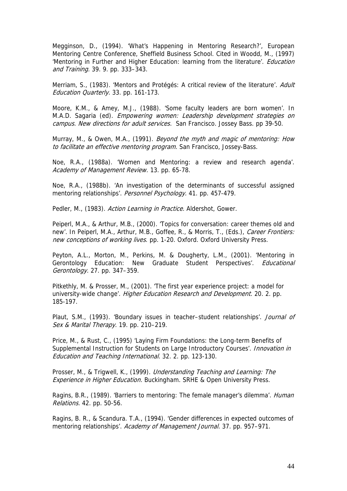Megginson, D., (1994). 'What's Happening in Mentoring Research?', European Mentoring Centre Conference, Sheffield Business School. Cited in Woodd, M., (1997) 'Mentoring in Further and Higher Education: learning from the literature'. *Education* and Training. 39. 9. pp. 333–343.

Merriam, S., (1983). 'Mentors and Protégés: A critical review of the literature'. Adult Education Quarterly. 33. pp. 161-173.

Moore, K.M., & Amey, M.J., (1988). 'Some faculty leaders are born women'. In M.A.D. Sagaria (ed). Empowering women: Leadership development strategies on campus. New directions for adult services. San Francisco. Jossey Bass. pp 39-50.

Murray, M., & Owen, M.A., (1991). Beyond the myth and magic of mentoring: How to facilitate an effective mentoring program. San Francisco, Jossey-Bass.

Noe, R.A., (1988a). 'Women and Mentoring: a review and research agenda'. Academy of Management Review. 13. pp. 65-78.

Noe, R.A., (1988b). 'An investigation of the determinants of successful assigned mentoring relationships'. Personnel Psychology. 41. pp. 457-479.

Pedler, M., (1983). Action Learning in Practice. Aldershot, Gower.

Peiperl, M.A., & Arthur, M.B., (2000). 'Topics for conversation: career themes old and new'. In Peiperl, M.A., Arthur, M.B., Goffee, R., & Morris, T., (Eds.), Career Frontiers: new conceptions of working lives. pp. 1-20. Oxford. Oxford University Press.

Peyton, A.L., Morton, M., Perkins, M. & Dougherty, L.M., (2001). 'Mentoring in Gerontology Education: New Graduate Student Perspectives'. *Educational* Gerontology. 27. pp. 347–359.

Pitkethly, M. & Prosser, M., (2001). 'The first year experience project: a model for university-wide change'. Higher Education Research and Development. 20. 2. pp. 185-197.

Plaut, S.M., (1993). 'Boundary issues in teacher–student relationships'. Journal of Sex & Marital Therapy. 19. pp. 210-219.

Price, M., & Rust, C., (1995) 'Laying Firm Foundations: the Long-term Benefits of Supplemental Instruction for Students on Large Introductory Courses'. *Innovation in* Education and Teaching International. 32. 2. pp. 123-130.

Prosser, M., & Trigwell, K., (1999). Understanding Teaching and Learning: The Experience in Higher Education. Buckingham. SRHE & Open University Press.

Ragins, B.R., (1989). 'Barriers to mentoring: The female manager's dilemma'. *Human* Relations. 42. pp. 50-56.

Ragins, B. R., & Scandura. T.A., (1994). 'Gender differences in expected outcomes of mentoring relationships'. Academy of Management Journal. 37. pp. 957-971.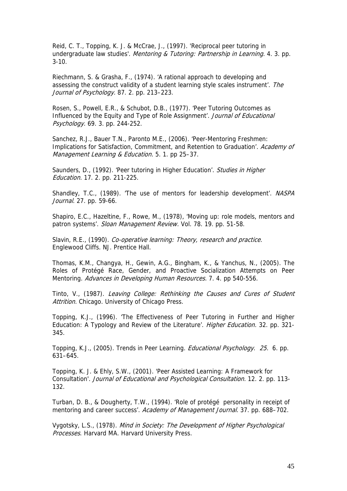Reid, C. T., Topping, K. J. & McCrae, J., (1997). 'Reciprocal peer tutoring in undergraduate law studies'. Mentoring & Tutoring: Partnership in Learning. 4. 3. pp. 3-10.

Riechmann, S. & Grasha, F., (1974). 'A rational approach to developing and assessing the construct validity of a student learning style scales instrument'. The Journal of Psychology. 87. 2. pp. 213–223.

Rosen, S., Powell, E.R., & Schubot, D.B., (1977). 'Peer Tutoring Outcomes as Influenced by the Equity and Type of Role Assignment'. Journal of Educational Psychology. 69. 3. pp. 244-252.

Sanchez, R.J., Bauer T.N., Paronto M.E., (2006). 'Peer-Mentoring Freshmen: Implications for Satisfaction, Commitment, and Retention to Graduation'. Academy of Management Learning & Education. 5. 1. pp 25-37.

Saunders, D., (1992). 'Peer tutoring in Higher Education'. Studies in Higher Education. 17. 2. pp. 211-225.

Shandley, T.C., (1989). 'The use of mentors for leadership development'. NASPA Journal. 27. pp. 59-66.

Shapiro, E.C., Hazeltine, F., Rowe, M., (1978), 'Moving up: role models, mentors and patron systems'. Sloan Management Review. Vol. 78. 19. pp. 51-58.

Slavin, R.E., (1990). Co-operative learning: Theory, research and practice. Englewood Cliffs. NJ. Prentice Hall.

Thomas, K.M., Changya, H., Gewin, A.G., Bingham, K., & Yanchus, N., (2005). The Roles of Protégé Race, Gender, and Proactive Socialization Attempts on Peer Mentoring. [Advances in Developing Human Resources](http://proquest.umi.com/pqdweb?RQT=318&pmid=57944&TS=1231925221&clientId=10461&VInst=PROD&VName=PQD&VType=PQD). 7. 4. pp 540-556.

Tinto, V., (1987). Leaving College: Rethinking the Causes and Cures of Student Attrition. Chicago. University of Chicago Press.

Topping, K.J., (1996). 'The Effectiveness of Peer Tutoring in Further and Higher Education: A Typology and Review of the Literature'. *Higher Education*. 32. pp. 321-345.

Topping, K.J., (2005). Trends in Peer Learning. Educational Psychology. 25. 6. pp. 631–645.

Topping, K. J. & Ehly, S.W., (2001). 'Peer Assisted Learning: A Framework for Consultation'. Journal of Educational and Psychological Consultation. 12. 2. pp. 113- 132.

Turban, D. B., & Dougherty, T.W., (1994). 'Role of protégé personality in receipt of mentoring and career success'. Academy of Management Journal. 37. pp. 688-702.

Vygotsky, L.S., (1978). Mind in Society: The Development of Higher Psychological Processes. Harvard MA. Harvard University Press.